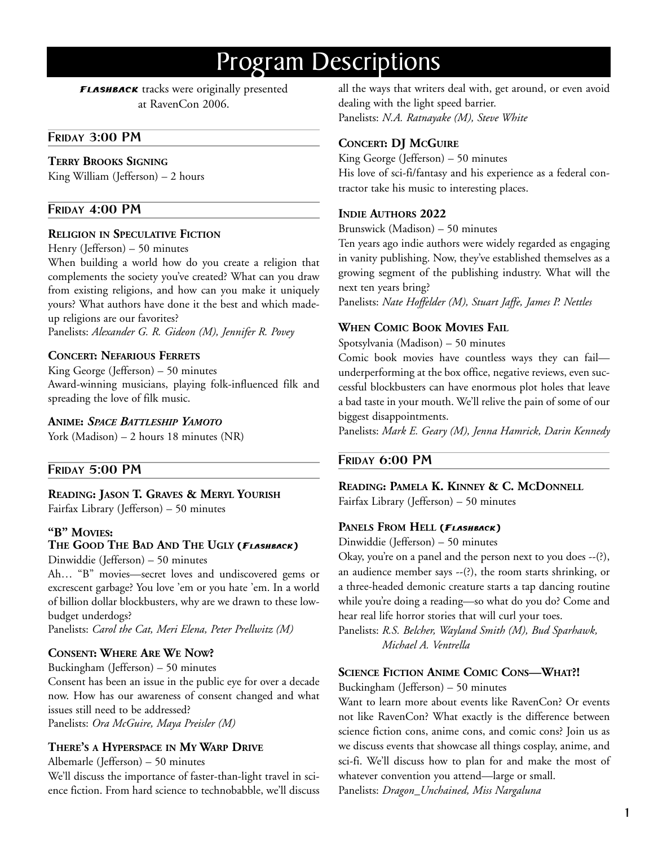# Program Descriptions

**FLASHBACK** tracks were originally presented at RavenCon 2006.

## **FRIDAY 3:00 PM**

#### **TERRY BROOKS SIGNING**

King William (Jefferson) – 2 hours

#### **FRIDAY 4:00 PM**

#### **RELIGION IN SPECULATIVE FICTION**

Henry (Jefferson) – 50 minutes

When building a world how do you create a religion that complements the society you've created? What can you draw from existing religions, and how can you make it uniquely yours? What authors have done it the best and which madeup religions are our favorites?

Panelists: *Alexander G. R. Gideon (M), Jennifer R. Povey*

#### **CONCERT: NEFARIOUS FERRETS**

King George (Jefferson) – 50 minutes Award-winning musicians, playing folk-influenced filk and spreading the love of filk music.

#### **ANIME:** *SPACE BATTLESHIP YAMOTO*

York (Madison) – 2 hours 18 minutes (NR)

#### **FRIDAY 5:00 PM**

#### **READING: JASON T. GRAVES & MERYL YOURISH**

Fairfax Library (Jefferson) – 50 minutes

#### **"B" MOVIES:**

## **THE GOOD THE BAD AND THE UGLY (FLASHBACK)**

Dinwiddie (Jefferson) – 50 minutes

Ah… "B" movies—secret loves and undiscovered gems or excrescent garbage? You love 'em or you hate 'em. In a world of billion dollar blockbusters, why are we drawn to these lowbudget underdogs?

Panelists: *Carol the Cat, Meri Elena, Peter Prellwitz (M)* 

## **CONSENT: WHERE ARE WE NOW?**

Buckingham (Jefferson) – 50 minutes Consent has been an issue in the public eye for over a decade now. How has our awareness of consent changed and what issues still need to be addressed? Panelists: *Ora McGuire, Maya Preisler (M)* 

#### **THERE'S A HYPERSPACE IN MY WARP DRIVE**

Albemarle (Jefferson) – 50 minutes

We'll discuss the importance of faster-than-light travel in science fiction. From hard science to technobabble, we'll discuss all the ways that writers deal with, get around, or even avoid dealing with the light speed barrier. Panelists: *N.A. Ratnayake (M), Steve White* 

## **CONCERT: DJ MCGUIRE**

King George (Jefferson) – 50 minutes His love of sci-fi/fantasy and his experience as a federal contractor take his music to interesting places.

#### **INDIE AUTHORS 2022**

Brunswick (Madison) – 50 minutes

Ten years ago indie authors were widely regarded as engaging in vanity publishing. Now, they've established themselves as a growing segment of the publishing industry. What will the next ten years bring?

Panelists: *Nate Hoffelder (M), Stuart Jaffe, James P. Nettles* 

## **WHEN COMIC BOOK MOVIES FAIL**

Spotsylvania (Madison) – 50 minutes

Comic book movies have countless ways they can fail underperforming at the box office, negative reviews, even successful blockbusters can have enormous plot holes that leave a bad taste in your mouth. We'll relive the pain of some of our biggest disappointments.

Panelists: *Mark E. Geary (M), Jenna Hamrick, Darin Kennedy* 

## **FRIDAY 6:00 PM**

**READING: PAMELA K. KINNEY & C. MCDONNELL**

Fairfax Library (Jefferson) – 50 minutes

### **PANELS FROM HELL (FLASHBACK)**

Dinwiddie (Jefferson) – 50 minutes

Okay, you're on a panel and the person next to you does --(?), an audience member says --(?), the room starts shrinking, or a three-headed demonic creature starts a tap dancing routine while you're doing a reading—so what do you do? Come and hear real life horror stories that will curl your toes.

Panelists: *R.S. Belcher, Wayland Smith (M), Bud Sparhawk, Michael A. Ventrella* 

#### **SCIENCE FICTION ANIME COMIC CONS—WHAT?!**

Buckingham (Jefferson) – 50 minutes

Want to learn more about events like RavenCon? Or events not like RavenCon? What exactly is the difference between science fiction cons, anime cons, and comic cons? Join us as we discuss events that showcase all things cosplay, anime, and sci-fi. We'll discuss how to plan for and make the most of whatever convention you attend—large or small. Panelists: *Dragon\_Unchained, Miss Nargaluna*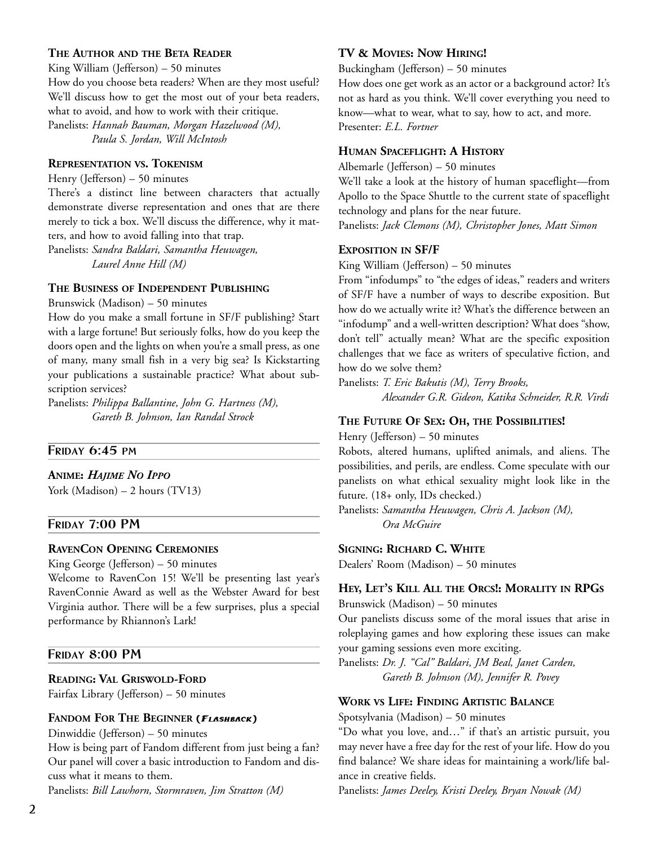## **THE AUTHOR AND THE BETA READER**

King William (Jefferson) – 50 minutes How do you choose beta readers? When are they most useful? We'll discuss how to get the most out of your beta readers, what to avoid, and how to work with their critique.

Panelists: *Hannah Bauman, Morgan Hazelwood (M), Paula S. Jordan, Will McIntosh* 

## **REPRESENTATION VS. TOKENISM**

Henry (Jefferson) – 50 minutes

There's a distinct line between characters that actually demonstrate diverse representation and ones that are there merely to tick a box. We'll discuss the difference, why it matters, and how to avoid falling into that trap.

Panelists: *Sandra Baldari, Samantha Heuwagen, Laurel Anne Hill (M)* 

## **THE BUSINESS OF INDEPENDENT PUBLISHING**

Brunswick (Madison) – 50 minutes

How do you make a small fortune in SF/F publishing? Start with a large fortune! But seriously folks, how do you keep the doors open and the lights on when you're a small press, as one of many, many small fish in a very big sea? Is Kickstarting your publications a sustainable practice? What about subscription services?

Panelists: *Philippa Ballantine, John G. Hartness (M), Gareth B. Johnson, Ian Randal Strock* 

## **FRIDAY 6:45 PM**

#### **ANIME:** *HAJIME NO IPPO*

York (Madison) – 2 hours (TV13)

## **FRIDAY 7:00 PM**

## **RAVENCON OPENING CEREMONIES**

King George (Jefferson) – 50 minutes

Welcome to RavenCon 15! We'll be presenting last year's RavenConnie Award as well as the Webster Award for best Virginia author. There will be a few surprises, plus a special performance by Rhiannon's Lark!

## **FRIDAY 8:00 PM**

#### **READING: VAL GRISWOLD-FORD**

Fairfax Library (Jefferson) – 50 minutes

#### **FANDOM FOR THE BEGINNER (FLASHBACK)**

Dinwiddie (Jefferson) – 50 minutes

How is being part of Fandom different from just being a fan? Our panel will cover a basic introduction to Fandom and discuss what it means to them.

Panelists: *Bill Lawhorn, Stormraven, Jim Stratton (M)* 

#### **TV & MOVIES: NOW HIRING!**

Buckingham (Jefferson) – 50 minutes

How does one get work as an actor or a background actor? It's not as hard as you think. We'll cover everything you need to know—what to wear, what to say, how to act, and more. Presenter: *E.L. Fortner* 

## **HUMAN SPACEFLIGHT: A HISTORY**

Albemarle (Jefferson) – 50 minutes

We'll take a look at the history of human spaceflight—from Apollo to the Space Shuttle to the current state of spaceflight technology and plans for the near future.

Panelists: *Jack Clemons (M), Christopher Jones, Matt Simon* 

#### **EXPOSITION IN SF/F**

King William (Jefferson) – 50 minutes

From "infodumps" to "the edges of ideas," readers and writers of SF/F have a number of ways to describe exposition. But how do we actually write it? What's the difference between an "infodump" and a well-written description? What does "show, don't tell" actually mean? What are the specific exposition challenges that we face as writers of speculative fiction, and how do we solve them?

Panelists: *T. Eric Bakutis (M), Terry Brooks,* 

*Alexander G.R. Gideon, Katika Schneider, R.R. Virdi* 

#### **THE FUTURE OF SEX: OH, THE POSSIBILITIES!**

Henry (Jefferson) – 50 minutes

Robots, altered humans, uplifted animals, and aliens. The possibilities, and perils, are endless. Come speculate with our panelists on what ethical sexuality might look like in the future. (18+ only, IDs checked.)

Panelists: *Samantha Heuwagen, Chris A. Jackson (M), Ora McGuire* 

#### **SIGNING: RICHARD C. WHITE**

Dealers' Room (Madison) – 50 minutes

#### **HEY, LET'S KILL ALL THE ORCS!: MORALITY IN RPGS**

Brunswick (Madison) – 50 minutes

Our panelists discuss some of the moral issues that arise in roleplaying games and how exploring these issues can make your gaming sessions even more exciting.

Panelists: *Dr. J. "Cal" Baldari, JM Beal, Janet Carden, Gareth B. Johnson (M), Jennifer R. Povey* 

#### **WORK VS LIFE: FINDING ARTISTIC BALANCE**

Spotsylvania (Madison) – 50 minutes

"Do what you love, and…" if that's an artistic pursuit, you may never have a free day for the rest of your life. How do you find balance? We share ideas for maintaining a work/life balance in creative fields.

Panelists: *James Deeley, Kristi Deeley, Bryan Nowak (M)*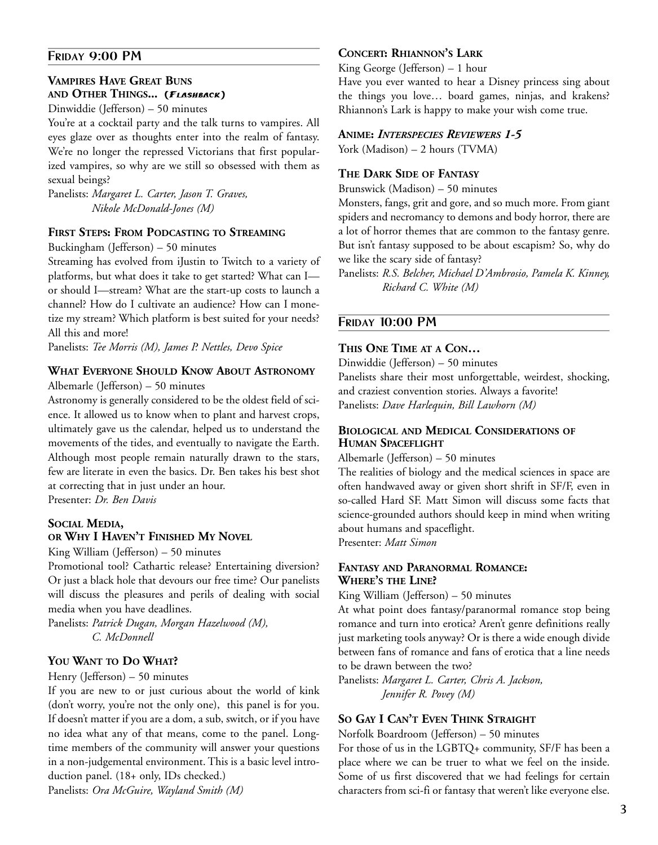## **FRIDAY 9:00 PM**

## **VAMPIRES HAVE GREAT BUNS AND OTHER THINGS... (FLASHBACK)**

Dinwiddie (Jefferson) – 50 minutes

You're at a cocktail party and the talk turns to vampires. All eyes glaze over as thoughts enter into the realm of fantasy. We're no longer the repressed Victorians that first popularized vampires, so why are we still so obsessed with them as sexual beings?

Panelists: *Margaret L. Carter, Jason T. Graves, Nikole McDonald-Jones (M)* 

## **FIRST STEPS: FROM PODCASTING TO STREAMING**

#### Buckingham (Jefferson) – 50 minutes

Streaming has evolved from iJustin to Twitch to a variety of platforms, but what does it take to get started? What can I or should I—stream? What are the start-up costs to launch a channel? How do I cultivate an audience? How can I monetize my stream? Which platform is best suited for your needs? All this and more!

Panelists: *Tee Morris (M), James P. Nettles, Devo Spice*

## **WHAT EVERYONE SHOULD KNOW ABOUT ASTRONOMY**

Albemarle (Jefferson) – 50 minutes

Astronomy is generally considered to be the oldest field of science. It allowed us to know when to plant and harvest crops, ultimately gave us the calendar, helped us to understand the movements of the tides, and eventually to navigate the Earth. Although most people remain naturally drawn to the stars, few are literate in even the basics. Dr. Ben takes his best shot at correcting that in just under an hour.

Presenter: *Dr. Ben Davis* 

#### **SOCIAL MEDIA, OR WHY I HAVEN'T FINISHED MY NOVEL**

King William (Jefferson) – 50 minutes

Promotional tool? Cathartic release? Entertaining diversion? Or just a black hole that devours our free time? Our panelists will discuss the pleasures and perils of dealing with social media when you have deadlines.

Panelists: *Patrick Dugan, Morgan Hazelwood (M), C. McDonnell* 

## **YOU WANT TO DO WHAT?**

#### Henry (Jefferson) – 50 minutes

If you are new to or just curious about the world of kink (don't worry, you're not the only one), this panel is for you. If doesn't matter if you are a dom, a sub, switch, or if you have no idea what any of that means, come to the panel. Longtime members of the community will answer your questions in a non-judgemental environment. This is a basic level introduction panel. (18+ only, IDs checked.)

Panelists: *Ora McGuire, Wayland Smith (M)* 

## **CONCERT: RHIANNON'S LARK**

King George (Jefferson) – 1 hour

Have you ever wanted to hear a Disney princess sing about the things you love… board games, ninjas, and krakens? Rhiannon's Lark is happy to make your wish come true.

#### **ANIME:** *INTERSPECIES REVIEWERS 1-5*

York (Madison) – 2 hours (TVMA)

## **THE DARK SIDE OF FANTASY**

Brunswick (Madison) – 50 minutes

Monsters, fangs, grit and gore, and so much more. From giant spiders and necromancy to demons and body horror, there are a lot of horror themes that are common to the fantasy genre. But isn't fantasy supposed to be about escapism? So, why do we like the scary side of fantasy?

Panelists: *R.S. Belcher, Michael D'Ambrosio, Pamela K. Kinney, Richard C. White (M)* 

#### **FRIDAY 10:00 PM**

## **THIS ONE TIME AT A CON…**

Dinwiddie (Jefferson) – 50 minutes Panelists share their most unforgettable, weirdest, shocking, and craziest convention stories. Always a favorite! Panelists: *Dave Harlequin, Bill Lawhorn (M)* 

## **BIOLOGICAL AND MEDICAL CONSIDERATIONS OF HUMAN SPACEFLIGHT**

Albemarle (Jefferson) – 50 minutes

The realities of biology and the medical sciences in space are often handwaved away or given short shrift in SF/F, even in so-called Hard SF. Matt Simon will discuss some facts that science-grounded authors should keep in mind when writing about humans and spaceflight. Presenter: *Matt Simon* 

## **FANTASY AND PARANORMAL ROMANCE: WHERE'S THE LINE?**

King William (Jefferson) – 50 minutes

At what point does fantasy/paranormal romance stop being romance and turn into erotica? Aren't genre definitions really just marketing tools anyway? Or is there a wide enough divide between fans of romance and fans of erotica that a line needs to be drawn between the two?

Panelists: *Margaret L. Carter, Chris A. Jackson, Jennifer R. Povey (M)* 

## **SO GAY I CAN'T EVEN THINK STRAIGHT**

Norfolk Boardroom (Jefferson) – 50 minutes

For those of us in the LGBTQ+ community, SF/F has been a place where we can be truer to what we feel on the inside. Some of us first discovered that we had feelings for certain characters from sci-fi or fantasy that weren't like everyone else.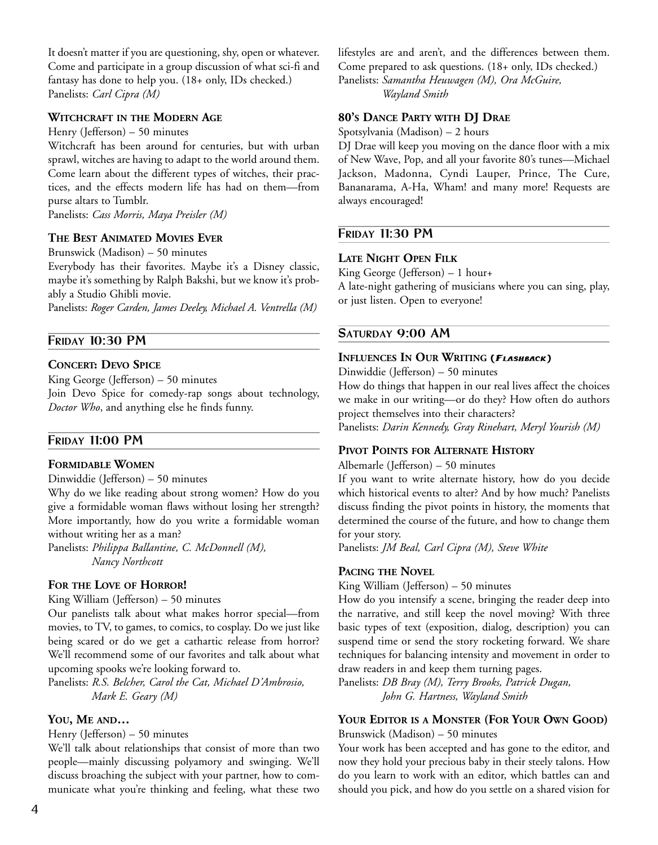It doesn't matter if you are questioning, shy, open or whatever. Come and participate in a group discussion of what sci-fi and fantasy has done to help you. (18+ only, IDs checked.) Panelists: *Carl Cipra (M)* 

#### **WITCHCRAFT IN THE MODERN AGE**

Henry (Jefferson) – 50 minutes

Witchcraft has been around for centuries, but with urban sprawl, witches are having to adapt to the world around them. Come learn about the different types of witches, their practices, and the effects modern life has had on them—from purse altars to Tumblr.

Panelists: *Cass Morris, Maya Preisler (M)* 

## **THE BEST ANIMATED MOVIES EVER**

Brunswick (Madison) – 50 minutes

Everybody has their favorites. Maybe it's a Disney classic, maybe it's something by Ralph Bakshi, but we know it's probably a Studio Ghibli movie.

Panelists: *Roger Carden, James Deeley, Michael A. Ventrella (M)* 

## **FRIDAY 10:30 PM**

#### **CONCERT: DEVO SPICE**

King George (Jefferson) – 50 minutes Join Devo Spice for comedy-rap songs about technology, *Doctor Who*, and anything else he finds funny.

#### **FRIDAY 11:00 PM**

## **FORMIDABLE WOMEN**

Dinwiddie (Jefferson) – 50 minutes

Why do we like reading about strong women? How do you give a formidable woman flaws without losing her strength? More importantly, how do you write a formidable woman without writing her as a man?

Panelists: *Philippa Ballantine, C. McDonnell (M), Nancy Northcott* 

## **FOR THE LOVE OF HORROR!**

King William (Jefferson) – 50 minutes

Our panelists talk about what makes horror special—from movies, to TV, to games, to comics, to cosplay. Do we just like being scared or do we get a cathartic release from horror? We'll recommend some of our favorites and talk about what upcoming spooks we're looking forward to.

Panelists: *R.S. Belcher, Carol the Cat, Michael D'Ambrosio, Mark E. Geary (M)* 

#### **YOU, ME AND…**

Henry (Jefferson) – 50 minutes

We'll talk about relationships that consist of more than two people—mainly discussing polyamory and swinging. We'll discuss broaching the subject with your partner, how to communicate what you're thinking and feeling, what these two lifestyles are and aren't, and the differences between them. Come prepared to ask questions. (18+ only, IDs checked.) Panelists: *Samantha Heuwagen (M), Ora McGuire, Wayland Smith* 

**80'S DANCE PARTY WITH DJ DRAE**

Spotsylvania (Madison) – 2 hours

DJ Drae will keep you moving on the dance floor with a mix of New Wave, Pop, and all your favorite 80's tunes—Michael Jackson, Madonna, Cyndi Lauper, Prince, The Cure, Bananarama, A-Ha, Wham! and many more! Requests are always encouraged!

## **FRIDAY 11:30 PM**

#### **LATE NIGHT OPEN FILK**

King George (Jefferson) – 1 hour+

A late-night gathering of musicians where you can sing, play, or just listen. Open to everyone!

#### **SATURDAY 9:00 AM**

### **INFLUENCES IN OUR WRITING (FLASHBACK)**

Dinwiddie (Jefferson) – 50 minutes

How do things that happen in our real lives affect the choices we make in our writing—or do they? How often do authors project themselves into their characters?

Panelists: *Darin Kennedy, Gray Rinehart, Meryl Yourish (M)*

#### **PIVOT POINTS FOR ALTERNATE HISTORY**

#### Albemarle (Jefferson) – 50 minutes

If you want to write alternate history, how do you decide which historical events to alter? And by how much? Panelists discuss finding the pivot points in history, the moments that determined the course of the future, and how to change them for your story.

Panelists: *JM Beal, Carl Cipra (M), Steve White* 

#### **PACING THE NOVEL**

King William (Jefferson) – 50 minutes

How do you intensify a scene, bringing the reader deep into the narrative, and still keep the novel moving? With three basic types of text (exposition, dialog, description) you can suspend time or send the story rocketing forward. We share techniques for balancing intensity and movement in order to draw readers in and keep them turning pages.

Panelists: *DB Bray (M), Terry Brooks, Patrick Dugan, John G. Hartness, Wayland Smith* 

## **YOUR EDITOR IS A MONSTER (FOR YOUR OWN GOOD)**

Brunswick (Madison) – 50 minutes

Your work has been accepted and has gone to the editor, and now they hold your precious baby in their steely talons. How do you learn to work with an editor, which battles can and should you pick, and how do you settle on a shared vision for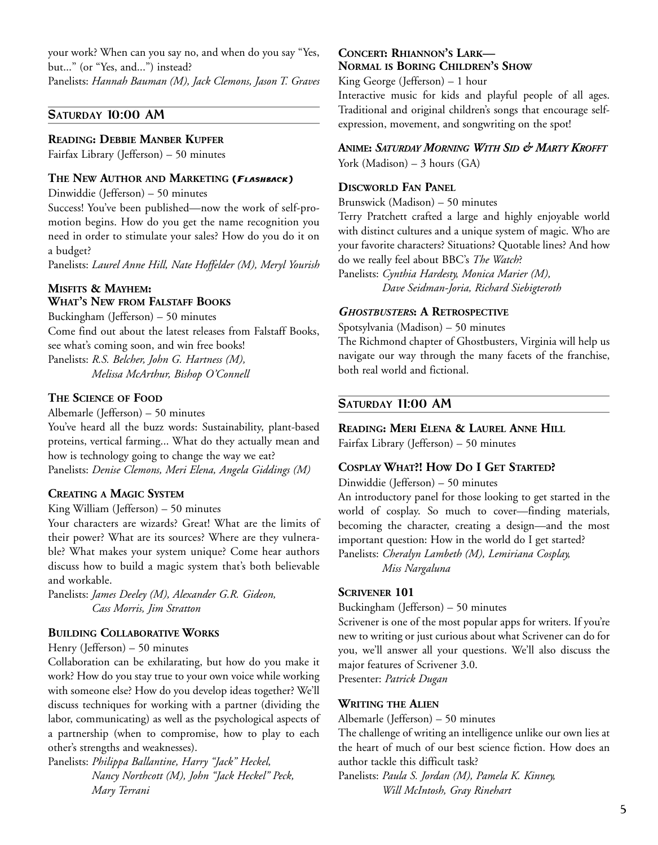your work? When can you say no, and when do you say "Yes, but..." (or "Yes, and...") instead?

Panelists: *Hannah Bauman (M), Jack Clemons, Jason T. Graves* 

## **SATURDAY 10:00 AM**

## **READING: DEBBIE MANBER KUPFER**

Fairfax Library (Jefferson) – 50 minutes

## **THE NEW AUTHOR AND MARKETING (FLASHBACK)**

Dinwiddie (Jefferson) – 50 minutes

Success! You've been published—now the work of self-promotion begins. How do you get the name recognition you need in order to stimulate your sales? How do you do it on a budget?

Panelists: *Laurel Anne Hill, Nate Hoffelder (M), Meryl Yourish* 

## **MISFITS & MAYHEM: WHAT'S NEW FROM FALSTAFF BOOKS**

Buckingham (Jefferson) – 50 minutes Come find out about the latest releases from Falstaff Books, see what's coming soon, and win free books! Panelists: *R.S. Belcher, John G. Hartness (M), Melissa McArthur, Bishop O'Connell* 

## **THE SCIENCE OF FOOD**

Albemarle (Jefferson) – 50 minutes

You've heard all the buzz words: Sustainability, plant-based proteins, vertical farming... What do they actually mean and how is technology going to change the way we eat? Panelists: *Denise Clemons, Meri Elena, Angela Giddings (M)* 

## **CREATING A MAGIC SYSTEM**

King William (Jefferson) – 50 minutes

Your characters are wizards? Great! What are the limits of their power? What are its sources? Where are they vulnerable? What makes your system unique? Come hear authors discuss how to build a magic system that's both believable and workable.

Panelists: *James Deeley (M), Alexander G.R. Gideon, Cass Morris, Jim Stratton* 

## **BUILDING COLLABORATIVE WORKS**

Henry (Jefferson) – 50 minutes

Collaboration can be exhilarating, but how do you make it work? How do you stay true to your own voice while working with someone else? How do you develop ideas together? We'll discuss techniques for working with a partner (dividing the labor, communicating) as well as the psychological aspects of a partnership (when to compromise, how to play to each other's strengths and weaknesses).

Panelists: *Philippa Ballantine, Harry "Jack" Heckel, Nancy Northcott (M), John "Jack Heckel" Peck, Mary Terrani* 

#### **CONCERT: RHIANNON'S LARK— NORMAL IS BORING CHILDREN'S SHOW**

King George (Jefferson) – 1 hour

Interactive music for kids and playful people of all ages. Traditional and original children's songs that encourage selfexpression, movement, and songwriting on the spot!

## **ANIME:** *SATURDAY MORNING WITH SID & MARTY KROFFT*

York (Madison)  $-3$  hours (GA)

## **DISCWORLD FAN PANEL**

Brunswick (Madison) – 50 minutes

Terry Pratchett crafted a large and highly enjoyable world with distinct cultures and a unique system of magic. Who are your favorite characters? Situations? Quotable lines? And how do we really feel about BBC's *The Watch*?

Panelists: *Cynthia Hardesty, Monica Marier (M), Dave Seidman-Joria, Richard Siebigteroth* 

#### *GHOSTBUSTERS***: A RETROSPECTIVE**

Spotsylvania (Madison) – 50 minutes The Richmond chapter of Ghostbusters, Virginia will help us navigate our way through the many facets of the franchise, both real world and fictional.

## **SATURDAY 11:00 AM**

**READING: MERI ELENA & LAUREL ANNE HILL** Fairfax Library (Jefferson) – 50 minutes

#### **COSPLAY WHAT?! HOW DO I GET STARTED?**

Dinwiddie (Jefferson) – 50 minutes

An introductory panel for those looking to get started in the world of cosplay. So much to cover—finding materials, becoming the character, creating a design—and the most important question: How in the world do I get started? Panelists: *Cheralyn Lambeth (M), Lemiriana Cosplay,* 

*Miss Nargaluna* 

## **SCRIVENER 101**

Buckingham (Jefferson) – 50 minutes

Scrivener is one of the most popular apps for writers. If you're new to writing or just curious about what Scrivener can do for you, we'll answer all your questions. We'll also discuss the major features of Scrivener 3.0.

Presenter: *Patrick Dugan*

## **WRITING THE ALIEN**

Albemarle (Jefferson) – 50 minutes

The challenge of writing an intelligence unlike our own lies at the heart of much of our best science fiction. How does an author tackle this difficult task?

Panelists: *Paula S. Jordan (M), Pamela K. Kinney, Will McIntosh, Gray Rinehart*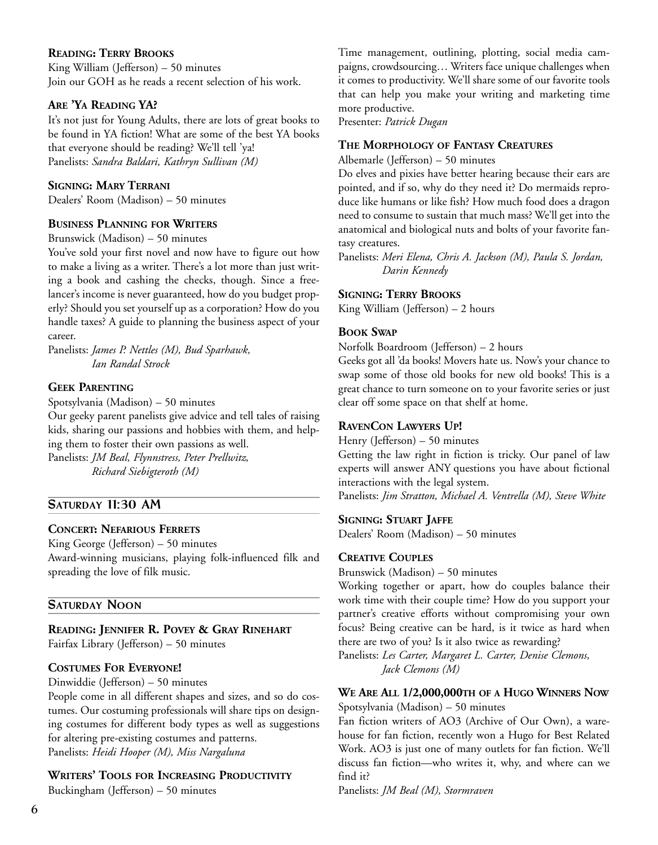## **READING: TERRY BROOKS**

King William (Jefferson) – 50 minutes Join our GOH as he reads a recent selection of his work.

## **ARE 'YA READING YA?**

It's not just for Young Adults, there are lots of great books to be found in YA fiction! What are some of the best YA books that everyone should be reading? We'll tell 'ya! Panelists: *Sandra Baldari, Kathryn Sullivan (M)* 

## **SIGNING: MARY TERRANI**

Dealers' Room (Madison) – 50 minutes

## **BUSINESS PLANNING FOR WRITERS**

Brunswick (Madison) – 50 minutes

You've sold your first novel and now have to figure out how to make a living as a writer. There's a lot more than just writing a book and cashing the checks, though. Since a freelancer's income is never guaranteed, how do you budget properly? Should you set yourself up as a corporation? How do you handle taxes? A guide to planning the business aspect of your career.

Panelists: *James P. Nettles (M), Bud Sparhawk, Ian Randal Strock* 

## **GEEK PARENTING**

Spotsylvania (Madison) – 50 minutes

Our geeky parent panelists give advice and tell tales of raising kids, sharing our passions and hobbies with them, and helping them to foster their own passions as well.

Panelists: *JM Beal, Flynnstress, Peter Prellwitz, Richard Siebigteroth (M)* 

## **SATURDAY 11:30 AM**

## **CONCERT: NEFARIOUS FERRETS**

King George (Jefferson) – 50 minutes Award-winning musicians, playing folk-influenced filk and spreading the love of filk music.

## **SATURDAY NOON**

## **READING: JENNIFER R. POVEY & GRAY RINEHART**

Fairfax Library (Jefferson) – 50 minutes

## **COSTUMES FOR EVERYONE!**

Dinwiddie (Jefferson) – 50 minutes

People come in all different shapes and sizes, and so do costumes. Our costuming professionals will share tips on designing costumes for different body types as well as suggestions for altering pre-existing costumes and patterns. Panelists: *Heidi Hooper (M), Miss Nargaluna* 

## **WRITERS' TOOLS FOR INCREASING PRODUCTIVITY**

Buckingham (Jefferson) – 50 minutes

Time management, outlining, plotting, social media campaigns, crowdsourcing… Writers face unique challenges when it comes to productivity. We'll share some of our favorite tools that can help you make your writing and marketing time more productive.

Presenter: *Patrick Dugan*

## **THE MORPHOLOGY OF FANTASY CREATURES**

Albemarle (Jefferson) – 50 minutes

Do elves and pixies have better hearing because their ears are pointed, and if so, why do they need it? Do mermaids reproduce like humans or like fish? How much food does a dragon need to consume to sustain that much mass? We'll get into the anatomical and biological nuts and bolts of your favorite fantasy creatures.

Panelists: *Meri Elena, Chris A. Jackson (M), Paula S. Jordan, Darin Kennedy* 

## **SIGNING: TERRY BROOKS**

King William (Jefferson) – 2 hours

## **BOOK SWAP**

Norfolk Boardroom (Jefferson) – 2 hours

Geeks got all 'da books! Movers hate us. Now's your chance to swap some of those old books for new old books! This is a great chance to turn someone on to your favorite series or just clear off some space on that shelf at home.

## **RAVENCON LAWYERS UP!**

Henry (Jefferson) – 50 minutes

Getting the law right in fiction is tricky. Our panel of law experts will answer ANY questions you have about fictional interactions with the legal system. Panelists: *Jim Stratton, Michael A. Ventrella (M), Steve White* 

## **SIGNING: STUART JAFFE**

Dealers' Room (Madison) – 50 minutes

## **CREATIVE COUPLES**

Brunswick (Madison) – 50 minutes

Working together or apart, how do couples balance their work time with their couple time? How do you support your partner's creative efforts without compromising your own focus? Being creative can be hard, is it twice as hard when there are two of you? Is it also twice as rewarding?

Panelists: *Les Carter, Margaret L. Carter, Denise Clemons, Jack Clemons (M)* 

## **WE ARE ALL 1/2,000,000TH OF A HUGO WINNERS NOW**

Spotsylvania (Madison) – 50 minutes

Fan fiction writers of AO3 (Archive of Our Own), a warehouse for fan fiction, recently won a Hugo for Best Related Work. AO3 is just one of many outlets for fan fiction. We'll discuss fan fiction—who writes it, why, and where can we find it?

Panelists: *JM Beal (M), Stormraven*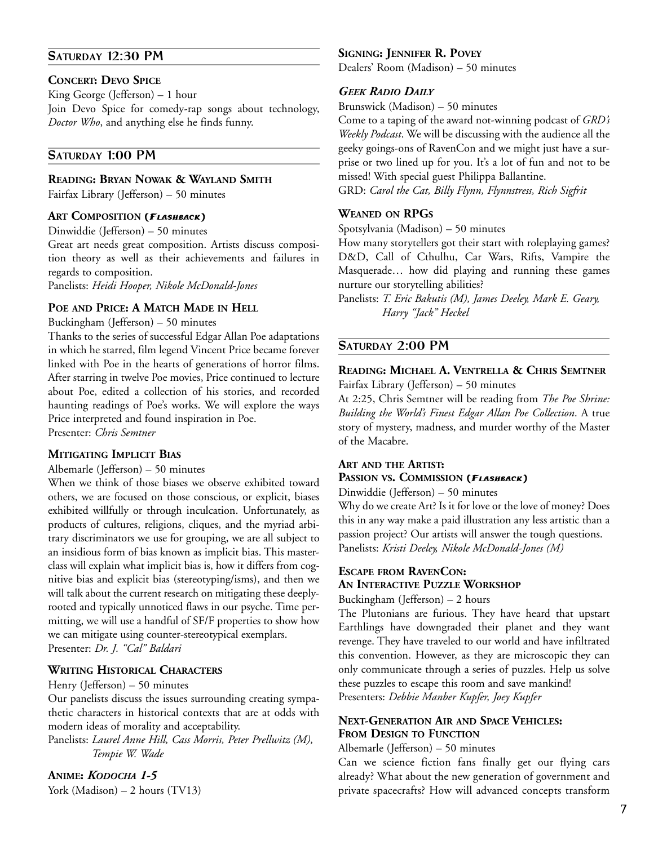## **SATURDAY 12:30 PM**

#### **CONCERT: DEVO SPICE**

King George (Jefferson) – 1 hour Join Devo Spice for comedy-rap songs about technology, *Doctor Who*, and anything else he finds funny.

## **SATURDAY 1:00 PM**

#### **READING: BRYAN NOWAK & WAYLAND SMITH**

Fairfax Library (Jefferson) – 50 minutes

#### **ART COMPOSITION (FLASHBACK)**

Dinwiddie (Jefferson) – 50 minutes

Great art needs great composition. Artists discuss composition theory as well as their achievements and failures in regards to composition.

Panelists: *Heidi Hooper, Nikole McDonald-Jones*

#### **POE AND PRICE: A MATCH MADE IN HELL**

Buckingham (Jefferson) – 50 minutes

Thanks to the series of successful Edgar Allan Poe adaptations in which he starred, film legend Vincent Price became forever linked with Poe in the hearts of generations of horror films. After starring in twelve Poe movies, Price continued to lecture about Poe, edited a collection of his stories, and recorded haunting readings of Poe's works. We will explore the ways Price interpreted and found inspiration in Poe.

Presenter: *Chris Semtner*

## **MITIGATING IMPLICIT BIAS**

Albemarle (Jefferson) – 50 minutes

When we think of those biases we observe exhibited toward others, we are focused on those conscious, or explicit, biases exhibited willfully or through inculcation. Unfortunately, as products of cultures, religions, cliques, and the myriad arbitrary discriminators we use for grouping, we are all subject to an insidious form of bias known as implicit bias. This masterclass will explain what implicit bias is, how it differs from cognitive bias and explicit bias (stereotyping/isms), and then we will talk about the current research on mitigating these deeplyrooted and typically unnoticed flaws in our psyche. Time permitting, we will use a handful of SF/F properties to show how we can mitigate using counter-stereotypical exemplars. Presenter: *Dr. J. "Cal" Baldari*

#### **WRITING HISTORICAL CHARACTERS**

Henry (Jefferson) – 50 minutes

Our panelists discuss the issues surrounding creating sympathetic characters in historical contexts that are at odds with modern ideas of morality and acceptability.

Panelists: *Laurel Anne Hill, Cass Morris, Peter Prellwitz (M), Tempie W. Wade* 

## **ANIME:** *KODOCHA 1-5*

York (Madison) – 2 hours (TV13)

#### **SIGNING: JENNIFER R. POVEY**

Dealers' Room (Madison) – 50 minutes

## *GEEK RADIO DAILY*

Brunswick (Madison) – 50 minutes

Come to a taping of the award not-winning podcast of *GRD's Weekly Podcast*. We will be discussing with the audience all the geeky goings-ons of RavenCon and we might just have a surprise or two lined up for you. It's a lot of fun and not to be missed! With special guest Philippa Ballantine.

GRD: *Carol the Cat, Billy Flynn, Flynnstress, Rich Sigfrit*

#### **WEANED ON RPGS**

Spotsylvania (Madison) – 50 minutes

How many storytellers got their start with roleplaying games? D&D, Call of Cthulhu, Car Wars, Rifts, Vampire the Masquerade… how did playing and running these games nurture our storytelling abilities?

Panelists: *T. Eric Bakutis (M), James Deeley, Mark E. Geary, Harry "Jack" Heckel* 

#### **SATURDAY 2:00 PM**

## **READING: MICHAEL A. VENTRELLA & CHRIS SEMTNER** Fairfax Library (Jefferson) – 50 minutes

At 2:25, Chris Semtner will be reading from *The Poe Shrine: Building the World's Finest Edgar Allan Poe Collection*. A true story of mystery, madness, and murder worthy of the Master of the Macabre.

#### **ART AND THE ARTIST: PASSION VS. COMMISSION (FLASHBACK)**

Dinwiddie (Jefferson) – 50 minutes

Why do we create Art? Is it for love or the love of money? Does this in any way make a paid illustration any less artistic than a passion project? Our artists will answer the tough questions. Panelists: *Kristi Deeley, Nikole McDonald-Jones (M)* 

## **ESCAPE FROM RAVENCON: AN INTERACTIVE PUZZLE WORKSHOP**

Buckingham (Jefferson) – 2 hours

The Plutonians are furious. They have heard that upstart Earthlings have downgraded their planet and they want revenge. They have traveled to our world and have infiltrated this convention. However, as they are microscopic they can only communicate through a series of puzzles. Help us solve these puzzles to escape this room and save mankind! Presenters: *Debbie Manber Kupfer, Joey Kupfer* 

## **NEXT-GENERATION AIR AND SPACE VEHICLES: FROM DESIGN TO FUNCTION**

Albemarle (Jefferson) – 50 minutes

Can we science fiction fans finally get our flying cars already? What about the new generation of government and private spacecrafts? How will advanced concepts transform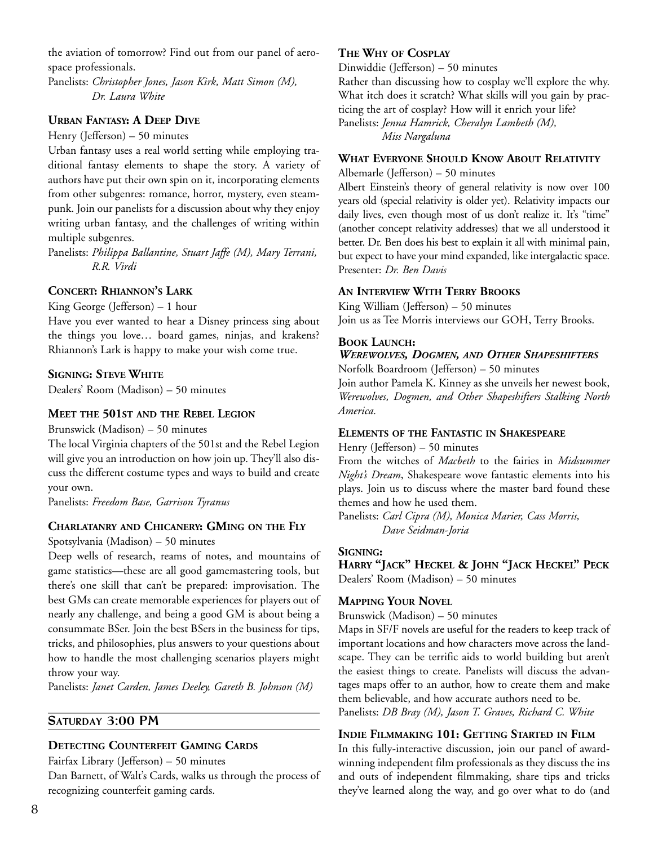the aviation of tomorrow? Find out from our panel of aerospace professionals.

Panelists: *Christopher Jones, Jason Kirk, Matt Simon (M), Dr. Laura White* 

## **URBAN FANTASY: A DEEP DIVE**

Henry (Jefferson) – 50 minutes

Urban fantasy uses a real world setting while employing traditional fantasy elements to shape the story. A variety of authors have put their own spin on it, incorporating elements from other subgenres: romance, horror, mystery, even steampunk. Join our panelists for a discussion about why they enjoy writing urban fantasy, and the challenges of writing within multiple subgenres.

Panelists: *Philippa Ballantine, Stuart Jaffe (M), Mary Terrani, R.R. Virdi* 

## **CONCERT: RHIANNON'S LARK**

King George (Jefferson) – 1 hour

Have you ever wanted to hear a Disney princess sing about the things you love… board games, ninjas, and krakens? Rhiannon's Lark is happy to make your wish come true.

## **SIGNING: STEVE WHITE**

Dealers' Room (Madison) – 50 minutes

## **MEET THE 501ST AND THE REBEL LEGION**

Brunswick (Madison) – 50 minutes

The local Virginia chapters of the 501st and the Rebel Legion will give you an introduction on how join up. They'll also discuss the different costume types and ways to build and create your own.

Panelists: *Freedom Base, Garrison Tyranus* 

## **CHARLATANRY AND CHICANERY: GMING ON THE FLY**

Spotsylvania (Madison) – 50 minutes

Deep wells of research, reams of notes, and mountains of game statistics—these are all good gamemastering tools, but there's one skill that can't be prepared: improvisation. The best GMs can create memorable experiences for players out of nearly any challenge, and being a good GM is about being a consummate BSer. Join the best BSers in the business for tips, tricks, and philosophies, plus answers to your questions about how to handle the most challenging scenarios players might throw your way.

Panelists: *Janet Carden, James Deeley, Gareth B. Johnson (M)* 

## **SATURDAY 3:00 PM**

## **DETECTING COUNTERFEIT GAMING CARDS**

Fairfax Library (Jefferson) – 50 minutes

Dan Barnett, of Walt's Cards, walks us through the process of recognizing counterfeit gaming cards.

## **THE WHY OF COSPLAY**

Dinwiddie (Jefferson) – 50 minutes

Rather than discussing how to cosplay we'll explore the why. What itch does it scratch? What skills will you gain by practicing the art of cosplay? How will it enrich your life?

Panelists: *Jenna Hamrick, Cheralyn Lambeth (M), Miss Nargaluna* 

## **WHAT EVERYONE SHOULD KNOW ABOUT RELATIVITY**

Albemarle (Jefferson) – 50 minutes

Albert Einstein's theory of general relativity is now over 100 years old (special relativity is older yet). Relativity impacts our daily lives, even though most of us don't realize it. It's "time" (another concept relativity addresses) that we all understood it better. Dr. Ben does his best to explain it all with minimal pain, but expect to have your mind expanded, like intergalactic space. Presenter: *Dr. Ben Davis* 

## **AN INTERVIEW WITH TERRY BROOKS**

King William (Jefferson) – 50 minutes Join us as Tee Morris interviews our GOH, Terry Brooks.

## **BOOK LAUNCH:**

## *WEREWOLVES, DOGMEN, AND OTHER SHAPESHIFTERS*

Norfolk Boardroom (Jefferson) – 50 minutes Join author Pamela K. Kinney as she unveils her newest book, *Werewolves, Dogmen, and Other Shapeshifters Stalking North America.* 

## **ELEMENTS OF THE FANTASTIC IN SHAKESPEARE**

Henry (Jefferson) – 50 minutes

From the witches of *Macbeth* to the fairies in *Midsummer Night's Dream*, Shakespeare wove fantastic elements into his plays. Join us to discuss where the master bard found these themes and how he used them.

Panelists: *Carl Cipra (M), Monica Marier, Cass Morris, Dave Seidman-Joria* 

## **SIGNING:**

**HARRY "JACK" HECKEL & JOHN "JACK HECKEL" PECK** Dealers' Room (Madison) – 50 minutes

## **MAPPING YOUR NOVEL**

Brunswick (Madison) – 50 minutes

Maps in SF/F novels are useful for the readers to keep track of important locations and how characters move across the landscape. They can be terrific aids to world building but aren't the easiest things to create. Panelists will discuss the advantages maps offer to an author, how to create them and make them believable, and how accurate authors need to be. Panelists: *DB Bray (M), Jason T. Graves, Richard C. White* 

## **INDIE FILMMAKING 101: GETTING STARTED IN FILM**

In this fully-interactive discussion, join our panel of awardwinning independent film professionals as they discuss the ins and outs of independent filmmaking, share tips and tricks they've learned along the way, and go over what to do (and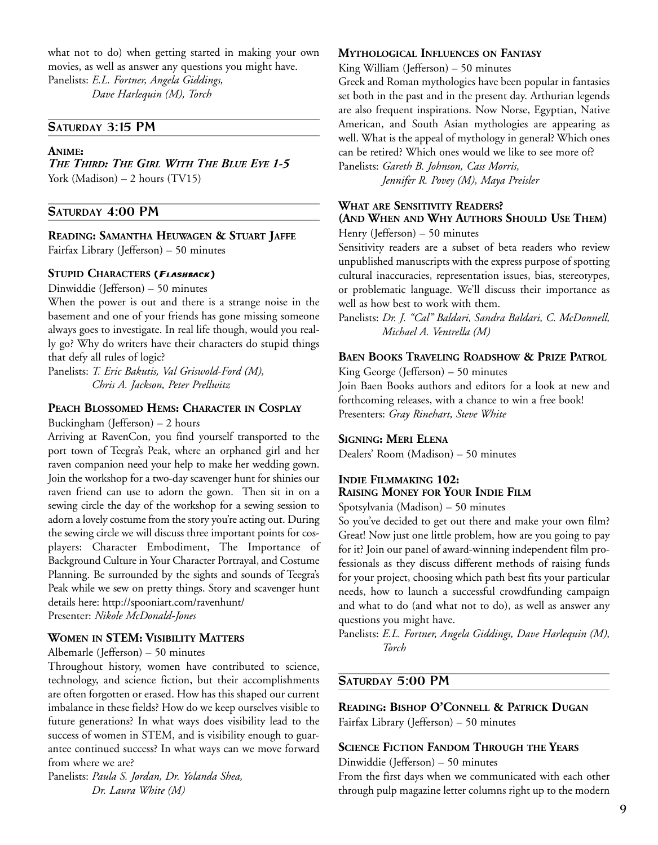what not to do) when getting started in making your own movies, as well as answer any questions you might have. Panelists: *E.L. Fortner, Angela Giddings,* 

*Dave Harlequin (M), Torch* 

## **SATURDAY 3:15 PM**

#### **ANIME:**

*THE THIRD: THE GIRL WITH THE BLUE EYE 1-5*  York (Madison) – 2 hours (TV15)

#### **SATURDAY 4:00 PM**

#### **READING: SAMANTHA HEUWAGEN & STUART JAFFE**

Fairfax Library (Jefferson) – 50 minutes

#### **STUPID CHARACTERS (FLASHBACK)**

Dinwiddie (Jefferson) – 50 minutes

When the power is out and there is a strange noise in the basement and one of your friends has gone missing someone always goes to investigate. In real life though, would you really go? Why do writers have their characters do stupid things that defy all rules of logic?

Panelists: *T. Eric Bakutis, Val Griswold-Ford (M), Chris A. Jackson, Peter Prellwitz* 

#### **PEACH BLOSSOMED HEMS: CHARACTER IN COSPLAY**

Buckingham (Jefferson) – 2 hours

Arriving at RavenCon, you find yourself transported to the port town of Teegra's Peak, where an orphaned girl and her raven companion need your help to make her wedding gown. Join the workshop for a two-day scavenger hunt for shinies our raven friend can use to adorn the gown. Then sit in on a sewing circle the day of the workshop for a sewing session to adorn a lovely costume from the story you're acting out. During the sewing circle we will discuss three important points for cosplayers: Character Embodiment, The Importance of Background Culture in Your Character Portrayal, and Costume Planning. Be surrounded by the sights and sounds of Teegra's Peak while we sew on pretty things. Story and scavenger hunt details here: http://spooniart.com/ravenhunt/ Presenter: *Nikole McDonald-Jones* 

#### **WOMEN IN STEM: VISIBILITY MATTERS**

#### Albemarle (Jefferson) – 50 minutes

Throughout history, women have contributed to science, technology, and science fiction, but their accomplishments are often forgotten or erased. How has this shaped our current imbalance in these fields? How do we keep ourselves visible to future generations? In what ways does visibility lead to the success of women in STEM, and is visibility enough to guarantee continued success? In what ways can we move forward from where we are?

Panelists: *Paula S. Jordan, Dr. Yolanda Shea, Dr. Laura White (M)* 

#### **MYTHOLOGICAL INFLUENCES ON FANTASY**

King William (Jefferson) – 50 minutes

Greek and Roman mythologies have been popular in fantasies set both in the past and in the present day. Arthurian legends are also frequent inspirations. Now Norse, Egyptian, Native American, and South Asian mythologies are appearing as well. What is the appeal of mythology in general? Which ones can be retired? Which ones would we like to see more of? Panelists: *Gareth B. Johnson, Cass Morris,* 

*Jennifer R. Povey (M), Maya Preisler* 

## **WHAT ARE SENSITIVITY READERS?**

## **(AND WHEN AND WHY AUTHORS SHOULD USE THEM)**

Henry (Jefferson) – 50 minutes

Sensitivity readers are a subset of beta readers who review unpublished manuscripts with the express purpose of spotting cultural inaccuracies, representation issues, bias, stereotypes, or problematic language. We'll discuss their importance as well as how best to work with them.

Panelists: *Dr. J. "Cal" Baldari, Sandra Baldari, C. McDonnell, Michael A. Ventrella (M)* 

#### **BAEN BOOKS TRAVELING ROADSHOW & PRIZE PATROL**

King George (Jefferson) – 50 minutes

Join Baen Books authors and editors for a look at new and forthcoming releases, with a chance to win a free book! Presenters: *Gray Rinehart, Steve White* 

#### **SIGNING: MERI ELENA**

Dealers' Room (Madison) – 50 minutes

## **INDIE FILMMAKING 102: RAISING MONEY FOR YOUR INDIE FILM**

Spotsylvania (Madison) – 50 minutes

So you've decided to get out there and make your own film? Great! Now just one little problem, how are you going to pay for it? Join our panel of award-winning independent film professionals as they discuss different methods of raising funds for your project, choosing which path best fits your particular needs, how to launch a successful crowdfunding campaign and what to do (and what not to do), as well as answer any questions you might have.

Panelists: *E.L. Fortner, Angela Giddings, Dave Harlequin (M), Torch* 

## **SATURDAY 5:00 PM**

**READING: BISHOP O'CONNELL & PATRICK DUGAN** Fairfax Library (Jefferson) – 50 minutes

#### **SCIENCE FICTION FANDOM THROUGH THE YEARS**

Dinwiddie (Jefferson) – 50 minutes

From the first days when we communicated with each other through pulp magazine letter columns right up to the modern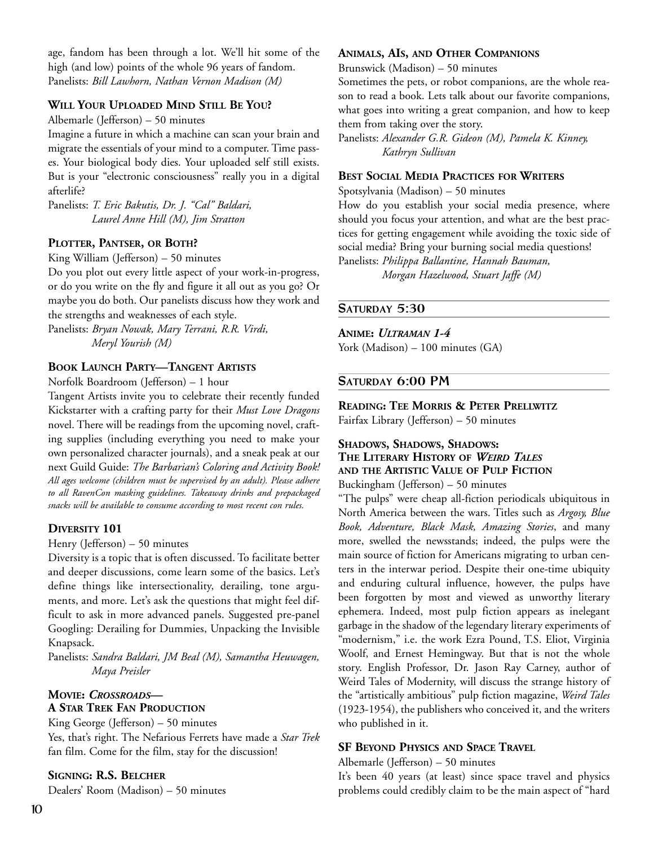age, fandom has been through a lot. We'll hit some of the high (and low) points of the whole 96 years of fandom. Panelists: *Bill Lawhorn, Nathan Vernon Madison (M)* 

#### **WILL YOUR UPLOADED MIND STILL BE YOU?**

Albemarle (Jefferson) – 50 minutes

Imagine a future in which a machine can scan your brain and migrate the essentials of your mind to a computer. Time passes. Your biological body dies. Your uploaded self still exists. But is your "electronic consciousness" really you in a digital afterlife?

Panelists: *T. Eric Bakutis, Dr. J. "Cal" Baldari, Laurel Anne Hill (M), Jim Stratton* 

#### **PLOTTER, PANTSER, OR BOTH?**

King William (Jefferson) – 50 minutes

Do you plot out every little aspect of your work-in-progress, or do you write on the fly and figure it all out as you go? Or maybe you do both. Our panelists discuss how they work and the strengths and weaknesses of each style.

Panelists: *Bryan Nowak, Mary Terrani, R.R. Virdi, Meryl Yourish (M)* 

## **BOOK LAUNCH PARTY—TANGENT ARTISTS**

Norfolk Boardroom (Jefferson) – 1 hour

Tangent Artists invite you to celebrate their recently funded Kickstarter with a crafting party for their *Must Love Dragons* novel. There will be readings from the upcoming novel, crafting supplies (including everything you need to make your own personalized character journals), and a sneak peak at our next Guild Guide: *The Barbarian's Coloring and Activity Book! All ages welcome (children must be supervised by an adult). Please adhere to all RavenCon masking guidelines. Takeaway drinks and prepackaged snacks will be available to consume according to most recent con rules.* 

#### **DIVERSITY 101**

Henry (Jefferson) – 50 minutes

Diversity is a topic that is often discussed. To facilitate better and deeper discussions, come learn some of the basics. Let's define things like intersectionality, derailing, tone arguments, and more. Let's ask the questions that might feel difficult to ask in more advanced panels. Suggested pre-panel Googling: Derailing for Dummies, Unpacking the Invisible Knapsack.

Panelists: *Sandra Baldari, JM Beal (M), Samantha Heuwagen, Maya Preisler* 

## **MOVIE:** *CROSSROADS***— A STAR TREK FAN PRODUCTION**

King George (Jefferson) – 50 minutes

Yes, that's right. The Nefarious Ferrets have made a *Star Trek*  fan film. Come for the film, stay for the discussion!

#### **SIGNING: R.S. BELCHER**

Dealers' Room (Madison) – 50 minutes

#### **ANIMALS, AIS, AND OTHER COMPANIONS**

Brunswick (Madison) – 50 minutes

Sometimes the pets, or robot companions, are the whole reason to read a book. Lets talk about our favorite companions, what goes into writing a great companion, and how to keep them from taking over the story.

Panelists: *Alexander G.R. Gideon (M), Pamela K. Kinney, Kathryn Sullivan* 

#### **BEST SOCIAL MEDIA PRACTICES FOR WRITERS**

Spotsylvania (Madison) – 50 minutes

How do you establish your social media presence, where should you focus your attention, and what are the best practices for getting engagement while avoiding the toxic side of social media? Bring your burning social media questions! Panelists: *Philippa Ballantine, Hannah Bauman,* 

*Morgan Hazelwood, Stuart Jaffe (M)* 

## **SATURDAY 5:30**

#### **ANIME:** *ULTRAMAN 1-4*

York (Madison) – 100 minutes (GA)

## **SATURDAY 6:00 PM**

## **READING: TEE MORRIS & PETER PRELLWITZ**

Fairfax Library (Jefferson) – 50 minutes

## **SHADOWS, SHADOWS, SHADOWS: THE LITERARY HISTORY OF** *WEIRD TALES* **AND THE ARTISTIC VALUE OF PULP FICTION**

Buckingham (Jefferson) – 50 minutes

"The pulps" were cheap all-fiction periodicals ubiquitous in North America between the wars. Titles such as *Argosy, Blue Book, Adventure, Black Mask, Amazing Stories*, and many more, swelled the newsstands; indeed, the pulps were the main source of fiction for Americans migrating to urban centers in the interwar period. Despite their one-time ubiquity and enduring cultural influence, however, the pulps have been forgotten by most and viewed as unworthy literary ephemera. Indeed, most pulp fiction appears as inelegant garbage in the shadow of the legendary literary experiments of "modernism," i.e. the work Ezra Pound, T.S. Eliot, Virginia Woolf, and Ernest Hemingway. But that is not the whole story. English Professor, Dr. Jason Ray Carney, author of Weird Tales of Modernity, will discuss the strange history of the "artistically ambitious" pulp fiction magazine, *Weird Tales* (1923-1954), the publishers who conceived it, and the writers who published in it.

## **SF BEYOND PHYSICS AND SPACE TRAVEL**

#### Albemarle (Jefferson) – 50 minutes

It's been 40 years (at least) since space travel and physics problems could credibly claim to be the main aspect of "hard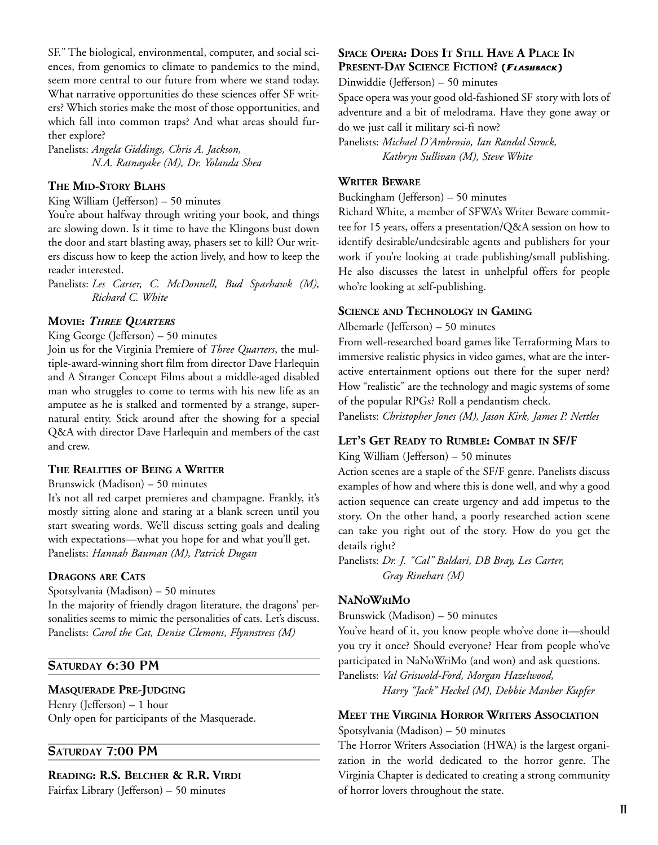SF." The biological, environmental, computer, and social sciences, from genomics to climate to pandemics to the mind, seem more central to our future from where we stand today. What narrative opportunities do these sciences offer SF writers? Which stories make the most of those opportunities, and which fall into common traps? And what areas should further explore?

Panelists: *Angela Giddings, Chris A. Jackson, N.A. Ratnayake (M), Dr. Yolanda Shea* 

## **THE MID-STORY BLAHS**

King William (Jefferson) – 50 minutes

You're about halfway through writing your book, and things are slowing down. Is it time to have the Klingons bust down the door and start blasting away, phasers set to kill? Our writers discuss how to keep the action lively, and how to keep the reader interested.

Panelists: *Les Carter, C. McDonnell, Bud Sparhawk (M), Richard C. White* 

#### **MOVIE:** *THREE QUARTERS*

King George (Jefferson) – 50 minutes

Join us for the Virginia Premiere of *Three Quarters*, the multiple-award-winning short film from director Dave Harlequin and A Stranger Concept Films about a middle-aged disabled man who struggles to come to terms with his new life as an amputee as he is stalked and tormented by a strange, supernatural entity. Stick around after the showing for a special Q&A with director Dave Harlequin and members of the cast and crew.

#### **THE REALITIES OF BEING A WRITER**

Brunswick (Madison) – 50 minutes

It's not all red carpet premieres and champagne. Frankly, it's mostly sitting alone and staring at a blank screen until you start sweating words. We'll discuss setting goals and dealing with expectations—what you hope for and what you'll get. Panelists: *Hannah Bauman (M), Patrick Dugan*

#### **DRAGONS ARE CATS**

Spotsylvania (Madison) – 50 minutes In the majority of friendly dragon literature, the dragons' personalities seems to mimic the personalities of cats. Let's discuss. Panelists: *Carol the Cat, Denise Clemons, Flynnstress (M)* 

## **SATURDAY 6:30 PM**

## **MASQUERADE PRE-JUDGING**

Henry (Jefferson) – 1 hour Only open for participants of the Masquerade.

## **SATURDAY 7:00 PM**

**READING: R.S. BELCHER & R.R. VIRDI**

Fairfax Library (Jefferson) – 50 minutes

## **SPACE OPERA: DOES IT STILL HAVE A PLACE IN PRESENT-DAY SCIENCE FICTION? (FLASHBACK)**

Dinwiddie (Jefferson) – 50 minutes Space opera was your good old-fashioned SF story with lots of adventure and a bit of melodrama. Have they gone away or do we just call it military sci-fi now? Panelists: *Michael D'Ambrosio, Ian Randal Strock,* 

*Kathryn Sullivan (M), Steve White* 

## **WRITER BEWARE**

Buckingham (Jefferson) – 50 minutes

Richard White, a member of SFWA's Writer Beware committee for 15 years, offers a presentation/Q&A session on how to identify desirable/undesirable agents and publishers for your work if you're looking at trade publishing/small publishing. He also discusses the latest in unhelpful offers for people who're looking at self-publishing.

## **SCIENCE AND TECHNOLOGY IN GAMING**

Albemarle (Jefferson) – 50 minutes

From well-researched board games like Terraforming Mars to immersive realistic physics in video games, what are the interactive entertainment options out there for the super nerd? How "realistic" are the technology and magic systems of some of the popular RPGs? Roll a pendantism check.

Panelists: *Christopher Jones (M), Jason Kirk, James P. Nettles*

#### **LET'S GET READY TO RUMBLE: COMBAT IN SF/F**

King William (Jefferson) – 50 minutes

Action scenes are a staple of the SF/F genre. Panelists discuss examples of how and where this is done well, and why a good action sequence can create urgency and add impetus to the story. On the other hand, a poorly researched action scene can take you right out of the story. How do you get the details right?

Panelists: *Dr. J. "Cal" Baldari, DB Bray, Les Carter, Gray Rinehart (M)* 

#### **NANOWRIMO**

Brunswick (Madison) – 50 minutes

You've heard of it, you know people who've done it—should you try it once? Should everyone? Hear from people who've participated in NaNoWriMo (and won) and ask questions.

Panelists: *Val Griswold-Ford, Morgan Hazelwood, Harry "Jack" Heckel (M), Debbie Manber Kupfer* 

## **MEET THE VIRGINIA HORROR WRITERS ASSOCIATION**

Spotsylvania (Madison) – 50 minutes

The Horror Writers Association (HWA) is the largest organization in the world dedicated to the horror genre. The Virginia Chapter is dedicated to creating a strong community of horror lovers throughout the state.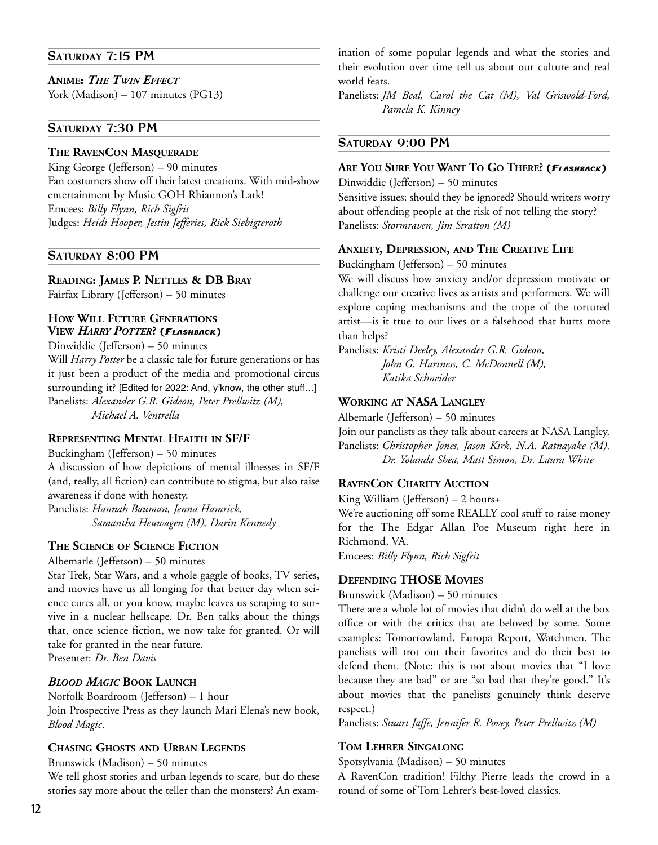## **SATURDAY 7:15 PM**

## **ANIME:** *THE TWIN EFFECT*

York (Madison) – 107 minutes (PG13)

## **SATURDAY 7:30 PM**

#### **THE RAVENCON MASQUERADE**

King George (Jefferson) – 90 minutes Fan costumers show off their latest creations. With mid-show entertainment by Music GOH Rhiannon's Lark! Emcees: *Billy Flynn, Rich Sigfrit* Judges: *Heidi Hooper, Jestin Jefferies, Rick Siebigteroth*

## **SATURDAY 8:00 PM**

**READING: JAMES P. NETTLES & DB BRAY**

Fairfax Library (Jefferson) – 50 minutes

## **HOW WILL FUTURE GENERATIONS VIEW** *HARRY POTTER***? (FLASHBACK)**

Dinwiddie (Jefferson) – 50 minutes

Will *Harry Potter* be a classic tale for future generations or has it just been a product of the media and promotional circus surrounding it? [Edited for 2022: And, y'know, the other stuff…] Panelists: *Alexander G.R. Gideon, Peter Prellwitz (M), Michael A. Ventrella* 

## **REPRESENTING MENTAL HEALTH IN SF/F**

Buckingham (Jefferson) – 50 minutes

A discussion of how depictions of mental illnesses in SF/F (and, really, all fiction) can contribute to stigma, but also raise awareness if done with honesty.

Panelists: *Hannah Bauman, Jenna Hamrick, Samantha Heuwagen (M), Darin Kennedy* 

## **THE SCIENCE OF SCIENCE FICTION**

Albemarle (Jefferson) – 50 minutes

Star Trek, Star Wars, and a whole gaggle of books, TV series, and movies have us all longing for that better day when science cures all, or you know, maybe leaves us scraping to survive in a nuclear hellscape. Dr. Ben talks about the things that, once science fiction, we now take for granted. Or will take for granted in the near future. Presenter: *Dr. Ben Davis*

## *BLOOD MAGIC* **BOOK LAUNCH**

Norfolk Boardroom (Jefferson) – 1 hour Join Prospective Press as they launch Mari Elena's new book, *Blood Magic*.

## **CHASING GHOSTS AND URBAN LEGENDS**

Brunswick (Madison) – 50 minutes

We tell ghost stories and urban legends to scare, but do these stories say more about the teller than the monsters? An examination of some popular legends and what the stories and their evolution over time tell us about our culture and real world fears.

Panelists: *JM Beal, Carol the Cat (M), Val Griswold-Ford, Pamela K. Kinney* 

## **SATURDAY 9:00 PM**

## **ARE YOU SURE YOU WANT TO GO THERE? (FLASHBACK)**

Dinwiddie (Jefferson) – 50 minutes Sensitive issues: should they be ignored? Should writers worry about offending people at the risk of not telling the story? Panelists: *Stormraven, Jim Stratton (M)* 

## **ANXIETY, DEPRESSION, AND THE CREATIVE LIFE**

Buckingham (Jefferson) – 50 minutes

We will discuss how anxiety and/or depression motivate or challenge our creative lives as artists and performers. We will explore coping mechanisms and the trope of the tortured artist—is it true to our lives or a falsehood that hurts more than helps?

Panelists: *Kristi Deeley, Alexander G.R. Gideon, John G. Hartness, C. McDonnell (M), Katika Schneider* 

## **WORKING AT NASA LANGLEY**

Albemarle (Jefferson) – 50 minutes Join our panelists as they talk about careers at NASA Langley. Panelists: *Christopher Jones, Jason Kirk, N.A. Ratnayake (M), Dr. Yolanda Shea, Matt Simon, Dr. Laura White* 

## **RAVENCON CHARITY AUCTION**

King William (Jefferson) – 2 hours+ We're auctioning off some REALLY cool stuff to raise money for the The Edgar Allan Poe Museum right here in Richmond, VA.

Emcees: *Billy Flynn, Rich Sigfrit*

## **DEFENDING THOSE MOVIES**

Brunswick (Madison) – 50 minutes

There are a whole lot of movies that didn't do well at the box office or with the critics that are beloved by some. Some examples: Tomorrowland, Europa Report, Watchmen. The panelists will trot out their favorites and do their best to defend them. (Note: this is not about movies that "I love because they are bad" or are "so bad that they're good." It's about movies that the panelists genuinely think deserve respect.)

Panelists: *Stuart Jaffe, Jennifer R. Povey, Peter Prellwitz (M)* 

## **TOM LEHRER SINGALONG**

Spotsylvania (Madison) – 50 minutes

A RavenCon tradition! Filthy Pierre leads the crowd in a round of some of Tom Lehrer's best-loved classics.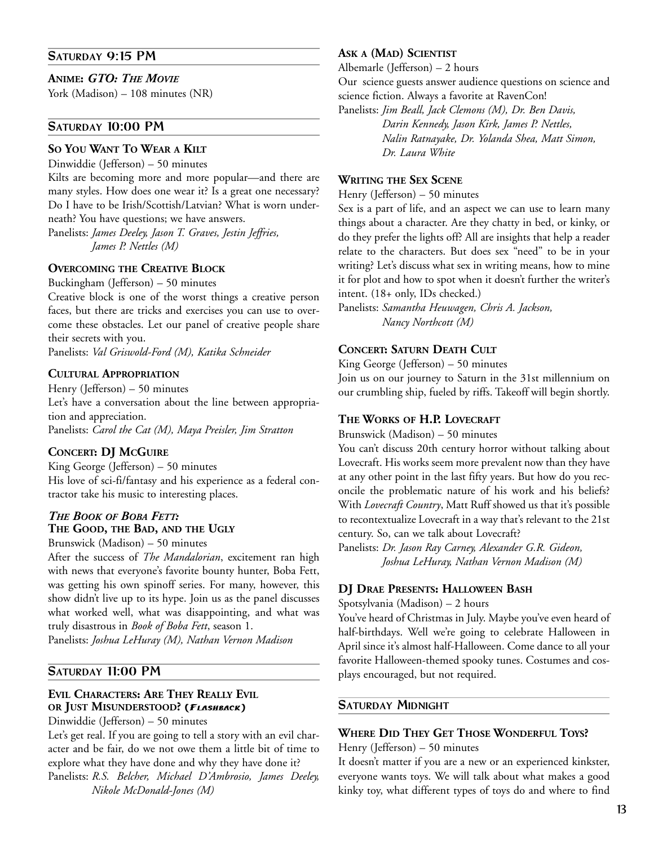## **SATURDAY 9:15 PM**

#### **ANIME:** *GTO: THE MOVIE*

York (Madison) – 108 minutes (NR)

## **SATURDAY 10:00 PM**

## **SO YOU WANT TO WEAR A KILT**

Dinwiddie (Jefferson) – 50 minutes

Kilts are becoming more and more popular—and there are many styles. How does one wear it? Is a great one necessary? Do I have to be Irish/Scottish/Latvian? What is worn underneath? You have questions; we have answers.

Panelists: *James Deeley, Jason T. Graves, Jestin Jeffries, James P. Nettles (M)* 

## **OVERCOMING THE CREATIVE BLOCK**

Buckingham (Jefferson) – 50 minutes

Creative block is one of the worst things a creative person faces, but there are tricks and exercises you can use to overcome these obstacles. Let our panel of creative people share their secrets with you.

Panelists: *Val Griswold-Ford (M), Katika Schneider* 

## **CULTURAL APPROPRIATION**

Henry (Jefferson) – 50 minutes Let's have a conversation about the line between appropriation and appreciation. Panelists: *Carol the Cat (M), Maya Preisler, Jim Stratton* 

## **CONCERT: DJ MCGUIRE**

King George (Jefferson) – 50 minutes His love of sci-fi/fantasy and his experience as a federal contractor take his music to interesting places.

## *THE BOOK OF BOBA FETT:*  **THE GOOD, THE BAD, AND THE UGLY**

Brunswick (Madison) – 50 minutes

After the success of *The Mandalorian*, excitement ran high with news that everyone's favorite bounty hunter, Boba Fett, was getting his own spinoff series. For many, however, this show didn't live up to its hype. Join us as the panel discusses what worked well, what was disappointing, and what was truly disastrous in *Book of Boba Fett*, season 1.

Panelists: *Joshua LeHuray (M), Nathan Vernon Madison* 

## **SATURDAY 11:00 PM**

## **EVIL CHARACTERS: ARE THEY REALLY EVIL OR JUST MISUNDERSTOOD? (FLASHBACK)**

Dinwiddie (Jefferson) – 50 minutes

Let's get real. If you are going to tell a story with an evil character and be fair, do we not owe them a little bit of time to explore what they have done and why they have done it? Panelists: *R.S. Belcher, Michael D'Ambrosio, James Deeley, Nikole McDonald-Jones (M)* 

#### **ASK A (MAD) SCIENTIST**

Albemarle (Jefferson) – 2 hours

Our science guests answer audience questions on science and science fiction. Always a favorite at RavenCon!

Panelists: *Jim Beall, Jack Clemons (M), Dr. Ben Davis, Darin Kennedy, Jason Kirk, James P. Nettles, Nalin Ratnayake, Dr. Yolanda Shea, Matt Simon, Dr. Laura White* 

#### **WRITING THE SEX SCENE**

Henry (Jefferson) – 50 minutes

Sex is a part of life, and an aspect we can use to learn many things about a character. Are they chatty in bed, or kinky, or do they prefer the lights off? All are insights that help a reader relate to the characters. But does sex "need" to be in your writing? Let's discuss what sex in writing means, how to mine it for plot and how to spot when it doesn't further the writer's intent. (18+ only, IDs checked.)

Panelists: *Samantha Heuwagen, Chris A. Jackson, Nancy Northcott (M)* 

#### **CONCERT: SATURN DEATH CULT**

King George (Jefferson) – 50 minutes

Join us on our journey to Saturn in the 31st millennium on our crumbling ship, fueled by riffs. Takeoff will begin shortly.

#### **THE WORKS OF H.P. LOVECRAFT**

Brunswick (Madison) – 50 minutes

You can't discuss 20th century horror without talking about Lovecraft. His works seem more prevalent now than they have at any other point in the last fifty years. But how do you reconcile the problematic nature of his work and his beliefs? With *Lovecraft Country*, Matt Ruff showed us that it's possible to recontextualize Lovecraft in a way that's relevant to the 21st century. So, can we talk about Lovecraft?

Panelists: *Dr. Jason Ray Carney, Alexander G.R. Gideon, Joshua LeHuray, Nathan Vernon Madison (M)* 

#### **DJ DRAE PRESENTS: HALLOWEEN BASH**

Spotsylvania (Madison) – 2 hours

You've heard of Christmas in July. Maybe you've even heard of half-birthdays. Well we're going to celebrate Halloween in April since it's almost half-Halloween. Come dance to all your favorite Halloween-themed spooky tunes. Costumes and cosplays encouraged, but not required.

## **SATURDAY MIDNIGHT**

## **WHERE DID THEY GET THOSE WONDERFUL TOYS?**

#### Henry (Jefferson) – 50 minutes

It doesn't matter if you are a new or an experienced kinkster, everyone wants toys. We will talk about what makes a good kinky toy, what different types of toys do and where to find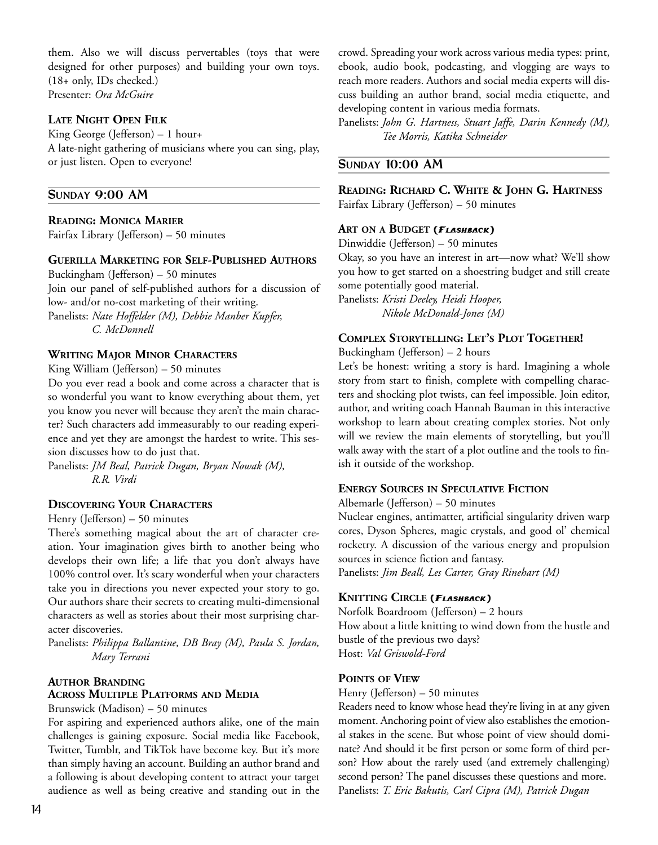them. Also we will discuss pervertables (toys that were designed for other purposes) and building your own toys. (18+ only, IDs checked.) Presenter: *Ora McGuire*

## **LATE NIGHT OPEN FILK**

King George (Jefferson) – 1 hour+ A late-night gathering of musicians where you can sing, play, or just listen. Open to everyone!

## **SUNDAY 9:00 AM**

#### **READING: MONICA MARIER**

Fairfax Library (Jefferson) – 50 minutes

### **GUERILLA MARKETING FOR SELF-PUBLISHED AUTHORS**

Buckingham (Jefferson) – 50 minutes Join our panel of self-published authors for a discussion of low- and/or no-cost marketing of their writing. Panelists: *Nate Hoffelder (M), Debbie Manber Kupfer, C. McDonnell* 

## **WRITING MAJOR MINOR CHARACTERS**

King William (Jefferson) – 50 minutes

Do you ever read a book and come across a character that is so wonderful you want to know everything about them, yet you know you never will because they aren't the main character? Such characters add immeasurably to our reading experience and yet they are amongst the hardest to write. This session discusses how to do just that.

Panelists: *JM Beal, Patrick Dugan, Bryan Nowak (M), R.R. Virdi* 

#### **DISCOVERING YOUR CHARACTERS**

#### Henry (Jefferson) – 50 minutes

There's something magical about the art of character creation. Your imagination gives birth to another being who develops their own life; a life that you don't always have 100% control over. It's scary wonderful when your characters take you in directions you never expected your story to go. Our authors share their secrets to creating multi-dimensional characters as well as stories about their most surprising character discoveries.

Panelists: *Philippa Ballantine, DB Bray (M), Paula S. Jordan, Mary Terrani* 

## **AUTHOR BRANDING ACROSS MULTIPLE PLATFORMS AND MEDIA**

Brunswick (Madison) – 50 minutes

For aspiring and experienced authors alike, one of the main challenges is gaining exposure. Social media like Facebook, Twitter, Tumblr, and TikTok have become key. But it's more than simply having an account. Building an author brand and a following is about developing content to attract your target audience as well as being creative and standing out in the

crowd. Spreading your work across various media types: print, ebook, audio book, podcasting, and vlogging are ways to reach more readers. Authors and social media experts will discuss building an author brand, social media etiquette, and developing content in various media formats.

Panelists: *John G. Hartness, Stuart Jaffe, Darin Kennedy (M), Tee Morris, Katika Schneider* 

## **SUNDAY 10:00 AM**

**READING: RICHARD C. WHITE & JOHN G. HARTNESS** Fairfax Library (Jefferson) – 50 minutes

#### **ART ON A BUDGET (FLASHBACK)**

Dinwiddie (Jefferson) – 50 minutes

Okay, so you have an interest in art—now what? We'll show you how to get started on a shoestring budget and still create some potentially good material.

Panelists: *Kristi Deeley, Heidi Hooper, Nikole McDonald-Jones (M)* 

## **COMPLEX STORYTELLING: LET'S PLOT TOGETHER!**

#### Buckingham (Jefferson) – 2 hours

Let's be honest: writing a story is hard. Imagining a whole story from start to finish, complete with compelling characters and shocking plot twists, can feel impossible. Join editor, author, and writing coach Hannah Bauman in this interactive workshop to learn about creating complex stories. Not only will we review the main elements of storytelling, but you'll walk away with the start of a plot outline and the tools to finish it outside of the workshop.

#### **ENERGY SOURCES IN SPECULATIVE FICTION**

Albemarle (Jefferson) – 50 minutes

Nuclear engines, antimatter, artificial singularity driven warp cores, Dyson Spheres, magic crystals, and good ol' chemical rocketry. A discussion of the various energy and propulsion sources in science fiction and fantasy.

Panelists: *Jim Beall, Les Carter, Gray Rinehart (M)* 

## **KNITTING CIRCLE (FLASHBACK)**

Norfolk Boardroom (Jefferson) – 2 hours How about a little knitting to wind down from the hustle and bustle of the previous two days? Host: *Val Griswold-Ford* 

#### **POINTS OF VIEW**

Henry (Jefferson) – 50 minutes

Readers need to know whose head they're living in at any given moment. Anchoring point of view also establishes the emotional stakes in the scene. But whose point of view should dominate? And should it be first person or some form of third person? How about the rarely used (and extremely challenging) second person? The panel discusses these questions and more. Panelists: *T. Eric Bakutis, Carl Cipra (M), Patrick Dugan*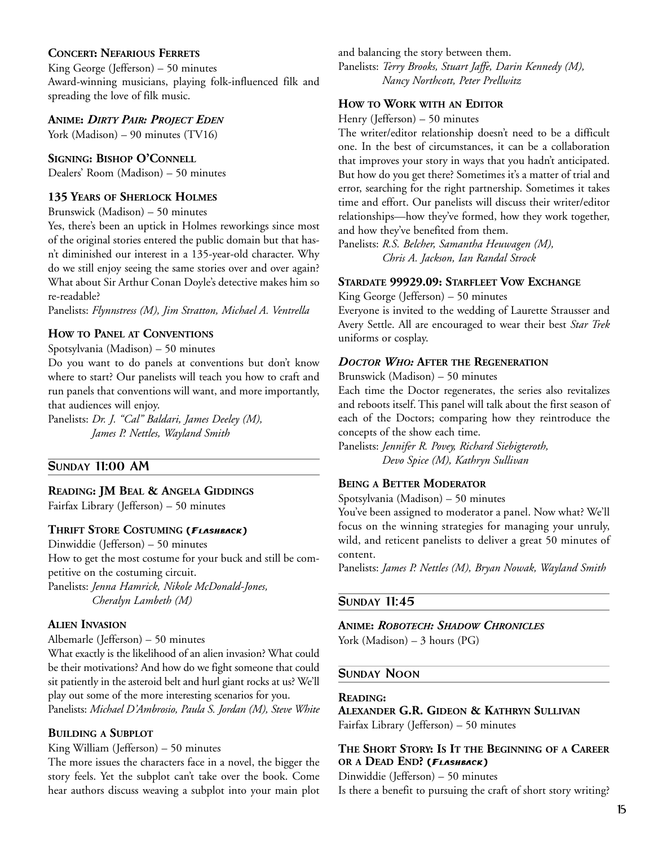## **CONCERT: NEFARIOUS FERRETS**

King George (Jefferson) – 50 minutes Award-winning musicians, playing folk-influenced filk and spreading the love of filk music.

## **ANIME:** *DIRTY PAIR: PROJECT EDEN*

York (Madison) – 90 minutes (TV16)

#### **SIGNING: BISHOP O'CONNELL**

Dealers' Room (Madison) – 50 minutes

## **135 YEARS OF SHERLOCK HOLMES**

Brunswick (Madison) – 50 minutes

Yes, there's been an uptick in Holmes reworkings since most of the original stories entered the public domain but that hasn't diminished our interest in a 135-year-old character. Why do we still enjoy seeing the same stories over and over again? What about Sir Arthur Conan Doyle's detective makes him so re-readable?

Panelists: *Flynnstress (M), Jim Stratton, Michael A. Ventrella*

## **HOW TO PANEL AT CONVENTIONS**

#### Spotsylvania (Madison) – 50 minutes

Do you want to do panels at conventions but don't know where to start? Our panelists will teach you how to craft and run panels that conventions will want, and more importantly, that audiences will enjoy.

Panelists: *Dr. J. "Cal" Baldari, James Deeley (M), James P. Nettles, Wayland Smith* 

## **SUNDAY 11:00 AM**

**READING: JM BEAL & ANGELA GIDDINGS** Fairfax Library (Jefferson) – 50 minutes

#### **THRIFT STORE COSTUMING (FLASHBACK)**

Dinwiddie (Jefferson) – 50 minutes How to get the most costume for your buck and still be competitive on the costuming circuit. Panelists: *Jenna Hamrick, Nikole McDonald-Jones,* 

*Cheralyn Lambeth (M)* 

## **ALIEN INVASION**

Albemarle (Jefferson) – 50 minutes

What exactly is the likelihood of an alien invasion? What could be their motivations? And how do we fight someone that could sit patiently in the asteroid belt and hurl giant rocks at us? We'll play out some of the more interesting scenarios for you. Panelists: *Michael D'Ambrosio, Paula S. Jordan (M), Steve White* 

## **BUILDING A SUBPLOT**

#### King William (Jefferson) – 50 minutes

The more issues the characters face in a novel, the bigger the story feels. Yet the subplot can't take over the book. Come hear authors discuss weaving a subplot into your main plot and balancing the story between them.

Panelists: *Terry Brooks, Stuart Jaffe, Darin Kennedy (M), Nancy Northcott, Peter Prellwitz* 

## **HOW TO WORK WITH AN EDITOR**

Henry (Jefferson) – 50 minutes

The writer/editor relationship doesn't need to be a difficult one. In the best of circumstances, it can be a collaboration that improves your story in ways that you hadn't anticipated. But how do you get there? Sometimes it's a matter of trial and error, searching for the right partnership. Sometimes it takes time and effort. Our panelists will discuss their writer/editor relationships—how they've formed, how they work together, and how they've benefited from them.

Panelists: *R.S. Belcher, Samantha Heuwagen (M), Chris A. Jackson, Ian Randal Strock* 

## **STARDATE 99929.09: STARFLEET VOW EXCHANGE**

King George (Jefferson) – 50 minutes

Everyone is invited to the wedding of Laurette Strausser and Avery Settle. All are encouraged to wear their best *Star Trek* uniforms or cosplay.

### *DOCTOR WHO:* **AFTER THE REGENERATION**

Brunswick (Madison) – 50 minutes

Each time the Doctor regenerates, the series also revitalizes and reboots itself. This panel will talk about the first season of each of the Doctors; comparing how they reintroduce the concepts of the show each time.

Panelists: *Jennifer R. Povey, Richard Siebigteroth, Devo Spice (M), Kathryn Sullivan* 

## **BEING A BETTER MODERATOR**

Spotsylvania (Madison) – 50 minutes

You've been assigned to moderator a panel. Now what? We'll focus on the winning strategies for managing your unruly, wild, and reticent panelists to deliver a great 50 minutes of content.

Panelists: *James P. Nettles (M), Bryan Nowak, Wayland Smith* 

## **SUNDAY 11:45**

#### **ANIME:** *ROBOTECH: SHADOW CHRONICLES*

York (Madison) – 3 hours (PG)

#### **SUNDAY NOON**

#### **READING:**

**ALEXANDER G.R. GIDEON & KATHRYN SULLIVAN** Fairfax Library (Jefferson) – 50 minutes

## **THE SHORT STORY: IS IT THE BEGINNING OF A CAREER OR A DEAD END? (FLASHBACK)**

Dinwiddie (Jefferson) – 50 minutes Is there a benefit to pursuing the craft of short story writing?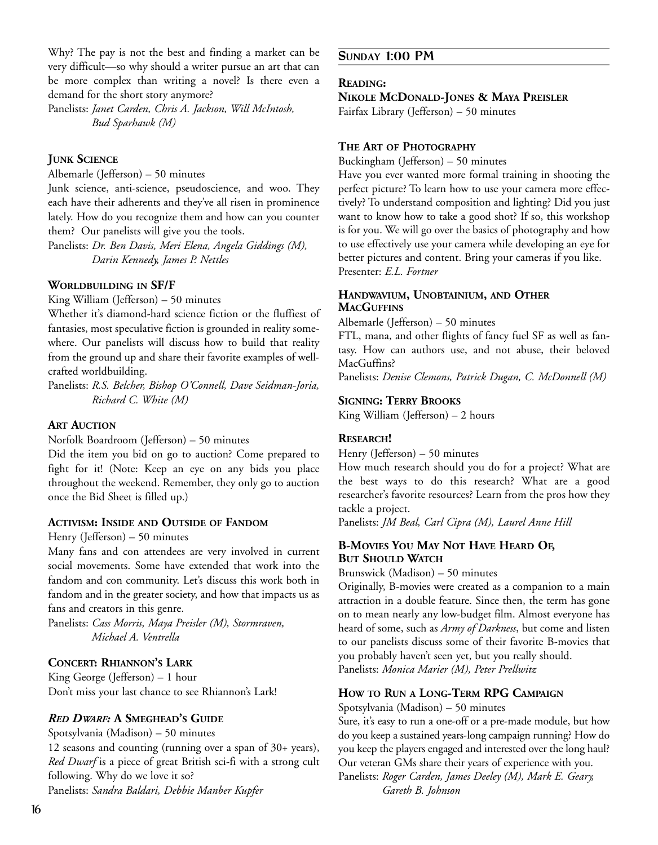Why? The pay is not the best and finding a market can be very difficult—so why should a writer pursue an art that can be more complex than writing a novel? Is there even a demand for the short story anymore?

Panelists: *Janet Carden, Chris A. Jackson, Will McIntosh, Bud Sparhawk (M)* 

## **JUNK SCIENCE**

Albemarle (Jefferson) – 50 minutes

Junk science, anti-science, pseudoscience, and woo. They each have their adherents and they've all risen in prominence lately. How do you recognize them and how can you counter them? Our panelists will give you the tools.

Panelists: *Dr. Ben Davis, Meri Elena, Angela Giddings (M), Darin Kennedy, James P. Nettles*

#### **WORLDBUILDING IN SF/F**

King William (Jefferson) – 50 minutes

Whether it's diamond-hard science fiction or the fluffiest of fantasies, most speculative fiction is grounded in reality somewhere. Our panelists will discuss how to build that reality from the ground up and share their favorite examples of wellcrafted worldbuilding.

Panelists: *R.S. Belcher, Bishop O'Connell, Dave Seidman-Joria, Richard C. White (M)*

#### **ART AUCTION**

Norfolk Boardroom (Jefferson) – 50 minutes

Did the item you bid on go to auction? Come prepared to fight for it! (Note: Keep an eye on any bids you place throughout the weekend. Remember, they only go to auction once the Bid Sheet is filled up.)

## **ACTIVISM: INSIDE AND OUTSIDE OF FANDOM**

Henry (Jefferson) – 50 minutes

Many fans and con attendees are very involved in current social movements. Some have extended that work into the fandom and con community. Let's discuss this work both in fandom and in the greater society, and how that impacts us as fans and creators in this genre.

Panelists: *Cass Morris, Maya Preisler (M), Stormraven, Michael A. Ventrella* 

## **CONCERT: RHIANNON'S LARK**

King George (Jefferson) – 1 hour Don't miss your last chance to see Rhiannon's Lark!

#### *RED DWARF:* **A SMEGHEAD'S GUIDE**

Spotsylvania (Madison) – 50 minutes

12 seasons and counting (running over a span of 30+ years), *Red Dwarf* is a piece of great British sci-fi with a strong cult following. Why do we love it so? Panelists: *Sandra Baldari, Debbie Manber Kupfer*

## **SUNDAY 1:00 PM**

### **READING:**

**NIKOLE MCDONALD-JONES & MAYA PREISLER**

Fairfax Library (Jefferson) – 50 minutes

#### **THE ART OF PHOTOGRAPHY**

Buckingham (Jefferson) – 50 minutes

Have you ever wanted more formal training in shooting the perfect picture? To learn how to use your camera more effectively? To understand composition and lighting? Did you just want to know how to take a good shot? If so, this workshop is for you. We will go over the basics of photography and how to use effectively use your camera while developing an eye for better pictures and content. Bring your cameras if you like. Presenter: *E.L. Fortner*

## **HANDWAVIUM, UNOBTAINIUM, AND OTHER MACGUFFINS**

Albemarle (Jefferson) – 50 minutes

FTL, mana, and other flights of fancy fuel SF as well as fantasy. How can authors use, and not abuse, their beloved MacGuffins?

Panelists: *Denise Clemons, Patrick Dugan, C. McDonnell (M)* 

#### **SIGNING: TERRY BROOKS**

King William (Jefferson) – 2 hours

#### **RESEARCH!**

Henry (Jefferson) – 50 minutes

How much research should you do for a project? What are the best ways to do this research? What are a good researcher's favorite resources? Learn from the pros how they tackle a project.

Panelists: *JM Beal, Carl Cipra (M), Laurel Anne Hill*

## **B-MOVIES YOU MAY NOT HAVE HEARD OF, BUT SHOULD WATCH**

Brunswick (Madison) – 50 minutes

Originally, B-movies were created as a companion to a main attraction in a double feature. Since then, the term has gone on to mean nearly any low-budget film. Almost everyone has heard of some, such as *Army of Darkness*, but come and listen to our panelists discuss some of their favorite B-movies that you probably haven't seen yet, but you really should. Panelists: *Monica Marier (M), Peter Prellwitz* 

#### **HOW TO RUN A LONG-TERM RPG CAMPAIGN**

Spotsylvania (Madison) – 50 minutes

Sure, it's easy to run a one-off or a pre-made module, but how do you keep a sustained years-long campaign running? How do you keep the players engaged and interested over the long haul? Our veteran GMs share their years of experience with you. Panelists: *Roger Carden, James Deeley (M), Mark E. Geary,* 

*Gareth B. Johnson*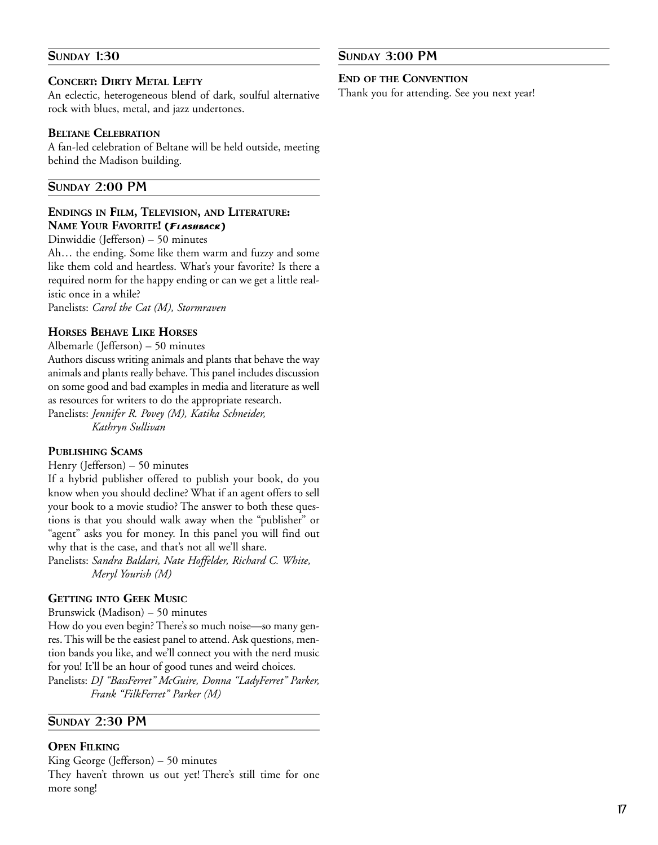## **SUNDAY 1:30**

## **CONCERT: DIRTY METAL LEFTY**

An eclectic, heterogeneous blend of dark, soulful alternative rock with blues, metal, and jazz undertones.

## **BELTANE CELEBRATION**

A fan-led celebration of Beltane will be held outside, meeting behind the Madison building.

## **SUNDAY 2:00 PM**

## **ENDINGS IN FILM, TELEVISION, AND LITERATURE: NAME YOUR FAVORITE! (FLASHBACK)**

Dinwiddie (Jefferson) – 50 minutes

Ah… the ending. Some like them warm and fuzzy and some like them cold and heartless. What's your favorite? Is there a required norm for the happy ending or can we get a little realistic once in a while?

Panelists: *Carol the Cat (M), Stormraven* 

## **HORSES BEHAVE LIKE HORSES**

Albemarle (Jefferson) – 50 minutes

Authors discuss writing animals and plants that behave the way animals and plants really behave. This panel includes discussion on some good and bad examples in media and literature as well as resources for writers to do the appropriate research.

Panelists: *Jennifer R. Povey (M), Katika Schneider, Kathryn Sullivan* 

## **PUBLISHING SCAMS**

Henry (Jefferson) – 50 minutes

If a hybrid publisher offered to publish your book, do you know when you should decline? What if an agent offers to sell your book to a movie studio? The answer to both these questions is that you should walk away when the "publisher" or "agent" asks you for money. In this panel you will find out why that is the case, and that's not all we'll share.

Panelists: *Sandra Baldari, Nate Hoffelder, Richard C. White, Meryl Yourish (M)* 

## **GETTING INTO GEEK MUSIC**

Brunswick (Madison) – 50 minutes

How do you even begin? There's so much noise—so many genres. This will be the easiest panel to attend. Ask questions, mention bands you like, and we'll connect you with the nerd music for you! It'll be an hour of good tunes and weird choices. Panelists: *DJ "BassFerret" McGuire, Donna "LadyFerret" Parker, Frank "FilkFerret" Parker (M)* 

## **SUNDAY 2:30 PM**

## **OPEN FILKING**

King George (Jefferson) – 50 minutes They haven't thrown us out yet! There's still time for one more song!

## **SUNDAY 3:00 PM**

#### **END OF THE CONVENTION**

Thank you for attending. See you next year!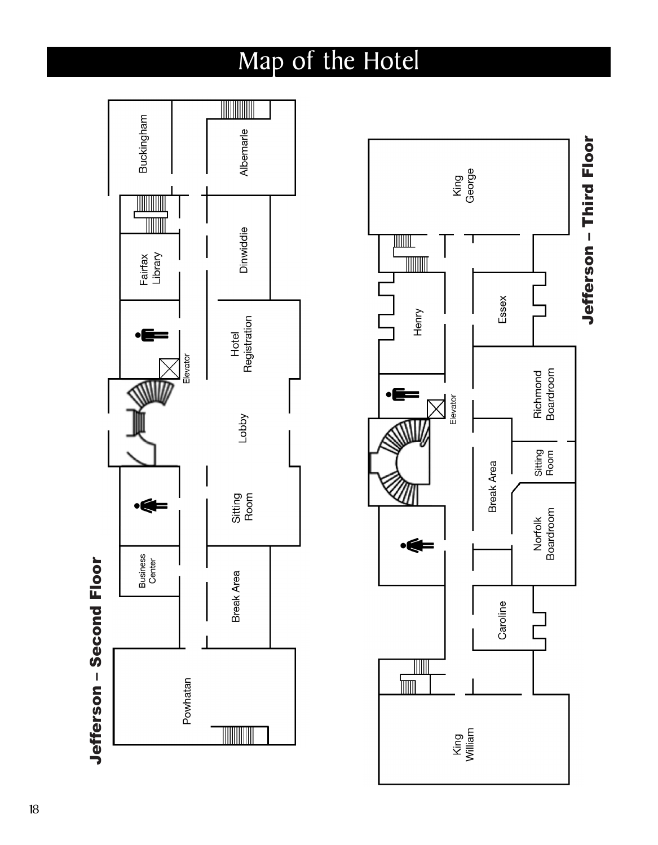# Map of the Hotel